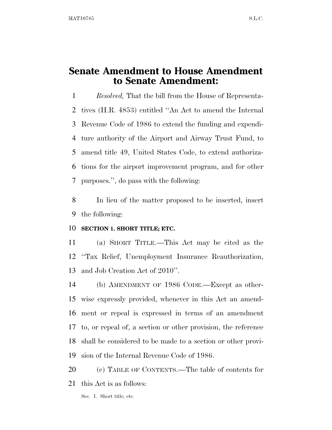### **Senate Amendment to House Amendment to Senate Amendment:**

 *Resolved,* That the bill from the House of Representa- tives (H.R. 4853) entitled ''An Act to amend the Internal Revenue Code of 1986 to extend the funding and expendi- ture authority of the Airport and Airway Trust Fund, to amend title 49, United States Code, to extend authoriza- tions for the airport improvement program, and for other purposes.'', do pass with the following:

 In lieu of the matter proposed to be inserted, insert the following:

### **SECTION 1. SHORT TITLE; ETC.**

 (a) SHORT TITLE.—This Act may be cited as the ''Tax Relief, Unemployment Insurance Reauthorization, and Job Creation Act of 2010''.

 (b) AMENDMENT OF 1986 CODE.—Except as other- wise expressly provided, whenever in this Act an amend- ment or repeal is expressed in terms of an amendment to, or repeal of, a section or other provision, the reference shall be considered to be made to a section or other provi-sion of the Internal Revenue Code of 1986.

 (c) TABLE OF CONTENTS.—The table of contents for this Act is as follows:

Sec. 1. Short title; etc.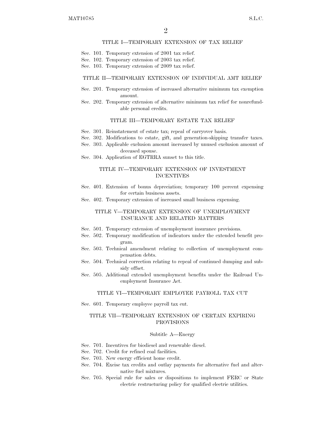### TITLE I—TEMPORARY EXTENSION OF TAX RELIEF

- Sec. 101. Temporary extension of 2001 tax relief.
- Sec. 102. Temporary extension of 2003 tax relief.
- Sec. 103. Temporary extension of 2009 tax relief.

### TITLE II—TEMPORARY EXTENSION OF INDIVIDUAL AMT RELIEF

- Sec. 201. Temporary extension of increased alternative minimum tax exemption amount.
- Sec. 202. Temporary extension of alternative minimum tax relief for nonrefundable personal credits.

#### TITLE III—TEMPORARY ESTATE TAX RELIEF

- Sec. 301. Reinstatement of estate tax; repeal of carryover basis.
- Sec. 302. Modifications to estate, gift, and generation-skipping transfer taxes.
- Sec. 303. Applicable exclusion amount increased by unused exclusion amount of deceased spouse.
- Sec. 304. Application of EGTRRA sunset to this title.

### TITLE IV—TEMPORARY EXTENSION OF INVESTMENT INCENTIVES

- Sec. 401. Extension of bonus depreciation; temporary 100 percent expensing for certain business assets.
- Sec. 402. Temporary extension of increased small business expensing.

### TITLE V—TEMPORARY EXTENSION OF UNEMPLOYMENT INSURANCE AND RELATED MATTERS

- Sec. 501. Temporary extension of unemployment insurance provisions.
- Sec. 502. Temporary modification of indicators under the extended benefit program.
- Sec. 503. Technical amendment relating to collection of unemployment compensation debts.
- Sec. 504. Technical correction relating to repeal of continued dumping and subsidy offset.
- Sec. 505. Additional extended unemployment benefits under the Railroad Unemployment Insurance Act.

### TITLE VI—TEMPORARY EMPLOYEE PAYROLL TAX CUT

Sec. 601. Temporary employee payroll tax cut.

### TITLE VII—TEMPORARY EXTENSION OF CERTAIN EXPIRING PROVISIONS

#### Subtitle A—Energy

- Sec. 701. Incentives for biodiesel and renewable diesel.
- Sec. 702. Credit for refined coal facilities.
- Sec. 703. New energy efficient home credit.
- Sec. 704. Excise tax credits and outlay payments for alternative fuel and alternative fuel mixtures.
- Sec. 705. Special rule for sales or dispositions to implement FERC or State electric restructuring policy for qualified electric utilities.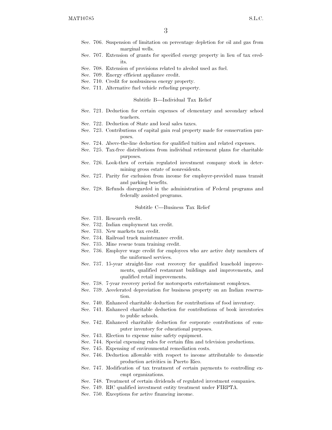- Sec. 706. Suspension of limitation on percentage depletion for oil and gas from marginal wells.
- Sec. 707. Extension of grants for specified energy property in lieu of tax credits.
- Sec. 708. Extension of provisions related to alcohol used as fuel.
- Sec. 709. Energy efficient appliance credit.
- Sec. 710. Credit for nonbusiness energy property.
- Sec. 711. Alternative fuel vehicle refueling property.

#### Subtitle B—Individual Tax Relief

- Sec. 721. Deduction for certain expenses of elementary and secondary school teachers.
- Sec. 722. Deduction of State and local sales taxes.
- Sec. 723. Contributions of capital gain real property made for conservation purposes.
- Sec. 724. Above-the-line deduction for qualified tuition and related expenses.
- Sec. 725. Tax-free distributions from individual retirement plans for charitable purposes.
- Sec. 726. Look-thru of certain regulated investment company stock in determining gross estate of nonresidents.
- Sec. 727. Parity for exclusion from income for employer-provided mass transit and parking benefits.
- Sec. 728. Refunds disregarded in the administration of Federal programs and federally assisted programs.

#### Subtitle C—Business Tax Relief

- Sec. 731. Research credit.
- Sec. 732. Indian employment tax credit.
- Sec. 733. New markets tax credit.
- Sec. 734. Railroad track maintenance credit.
- Sec. 735. Mine rescue team training credit.
- Sec. 736. Employer wage credit for employees who are active duty members of the uniformed services.
- Sec. 737. 15-year straight-line cost recovery for qualified leasehold improvements, qualified restaurant buildings and improvements, and qualified retail improvements.
- Sec. 738. 7-year recovery period for motorsports entertainment complexes.
- Sec. 739. Accelerated depreciation for business property on an Indian reservation.
- Sec. 740. Enhanced charitable deduction for contributions of food inventory.
- Sec. 741. Enhanced charitable deduction for contributions of book inventories to public schools.
- Sec. 742. Enhanced charitable deduction for corporate contributions of computer inventory for educational purposes.
- Sec. 743. Election to expense mine safety equipment.
- Sec. 744. Special expensing rules for certain film and television productions.
- Sec. 745. Expensing of environmental remediation costs.
- Sec. 746. Deduction allowable with respect to income attributable to domestic production activities in Puerto Rico.
- Sec. 747. Modification of tax treatment of certain payments to controlling exempt organizations.
- Sec. 748. Treatment of certain dividends of regulated investment companies.
- Sec. 749. RIC qualified investment entity treatment under FIRPTA.
- Sec. 750. Exceptions for active financing income.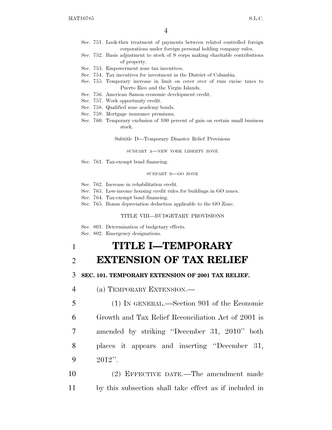- Sec. 751. Look-thru treatment of payments between related controlled foreign corporations under foreign personal holding company rules.
- Sec. 752. Basis adjustment to stock of S corps making charitable contributions of property.
- Sec. 753. Empowerment zone tax incentives.
- Sec. 754. Tax incentives for investment in the District of Columbia.
- Sec. 755. Temporary increase in limit on cover over of rum excise taxes to Puerto Rico and the Virgin Islands.
- Sec. 756. American Samoa economic development credit.
- Sec. 757. Work opportunity credit.
- Sec. 758. Qualified zone academy bonds.
- Sec. 759. Mortgage insurance premiums.
- Sec. 760. Temporary exclusion of 100 percent of gain on certain small business stock.

Subtitle D—Temporary Disaster Relief Provisions

SUBPART A—NEW YORK LIBERTY ZONE

Sec. 761. Tax-exempt bond financing.

### SUBPART B—GO ZONE

- Sec. 762. Increase in rehabilitation credit.
- Sec. 763. Low-income housing credit rules for buildings in GO zones.
- Sec. 764. Tax-exempt bond financing.
- Sec. 765. Bonus depreciation deduction applicable to the GO Zone.

#### TITLE VIII—BUDGETARY PROVISIONS

Sec. 801. Determination of budgetary effects.

Sec. 802. Emergency designations.

## 1 **TITLE I—TEMPORARY**

### 2 **EXTENSION OF TAX RELIEF**

### 3 **SEC. 101. TEMPORARY EXTENSION OF 2001 TAX RELIEF.**

4 (a) TEMPORARY EXTENSION.—

 (1) IN GENERAL.—Section 901 of the Economic Growth and Tax Relief Reconciliation Act of 2001 is amended by striking ''December 31, 2010'' both places it appears and inserting ''December 31, 9  $2012$ ".

10 (2) EFFECTIVE DATE.—The amendment made 11 by this subsection shall take effect as if included in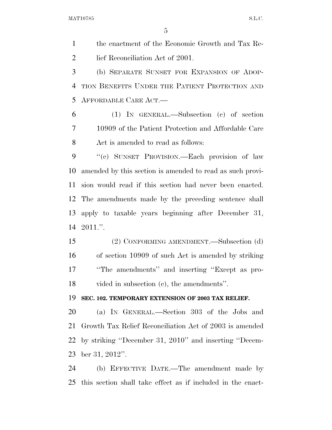the enactment of the Economic Growth and Tax Re-2 lief Reconciliation Act of 2001. (b) SEPARATE SUNSET FOR EXPANSION OF ADOP- TION BENEFITS UNDER THE PATIENT PROTECTION AND AFFORDABLE CARE ACT.— (1) IN GENERAL.—Subsection (c) of section 10909 of the Patient Protection and Affordable Care Act is amended to read as follows: ''(c) SUNSET PROVISION.—Each provision of law amended by this section is amended to read as such provi- sion would read if this section had never been enacted. The amendments made by the preceding sentence shall apply to taxable years beginning after December 31, 2011.''. (2) CONFORMING AMENDMENT.—Subsection (d) of section 10909 of such Act is amended by striking ''The amendments'' and inserting ''Except as pro-vided in subsection (c), the amendments''.

### **SEC. 102. TEMPORARY EXTENSION OF 2003 TAX RELIEF.**

 (a) IN GENERAL.—Section 303 of the Jobs and Growth Tax Relief Reconciliation Act of 2003 is amended by striking ''December 31, 2010'' and inserting ''Decem-ber 31, 2012''.

 (b) EFFECTIVE DATE.—The amendment made by this section shall take effect as if included in the enact-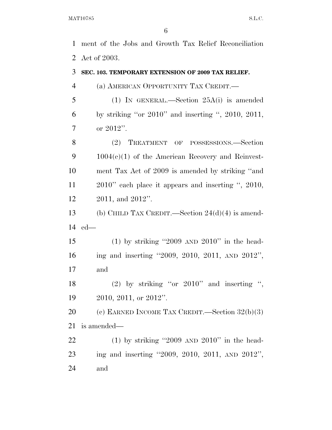ment of the Jobs and Growth Tax Relief Reconciliation Act of 2003.

# **SEC. 103. TEMPORARY EXTENSION OF 2009 TAX RELIEF.**  (a) AMERICAN OPPORTUNITY TAX CREDIT.— (1) IN GENERAL.—Section 25A(i) is amended by striking ''or 2010'' and inserting '', 2010, 2011, or 2012''. (2) TREATMENT OF POSSESSIONS.—Section 1004(c)(1) of the American Recovery and Reinvest- ment Tax Act of 2009 is amended by striking ''and 2010'' each place it appears and inserting '', 2010, 2011, and 2012''. (b) CHILD TAX CREDIT.—Section 24(d)(4) is amend- ed— (1) by striking ''2009 AND 2010'' in the head- ing and inserting ''2009, 2010, 2011, AND 2012'', and 18 (2) by striking "or 2010" and inserting ", 2010, 2011, or 2012''. (c) EARNED INCOME TAX CREDIT.—Section 32(b)(3) is amended—

22 (1) by striking  $"2009$  AND  $2010"$  in the head- ing and inserting ''2009, 2010, 2011, AND 2012'', and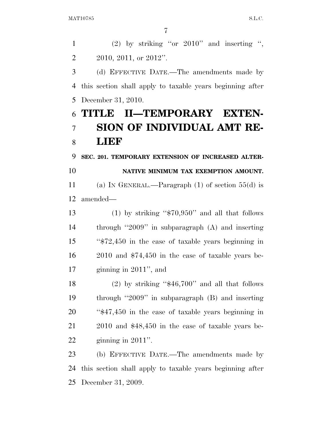1 (2) by striking "or " and inserting ", 2 2010, 2011, or 2012". (d) EFFECTIVE DATE.—The amendments made by this section shall apply to taxable years beginning after December 31, 2010. **TITLE II—TEMPORARY EXTEN- SION OF INDIVIDUAL AMT RE- LIEF SEC. 201. TEMPORARY EXTENSION OF INCREASED ALTER- NATIVE MINIMUM TAX EXEMPTION AMOUNT.**  (a) IN GENERAL.—Paragraph (1) of section 55(d) is amended— 13 (1) by striking " $$70,950"$  and all that follows through ''2009'' in subparagraph (A) and inserting ''\$72,450 in the case of taxable years beginning in 2010 and \$74,450 in the case of taxable years be- ginning in 2011'', and (2) by striking ''\$46,700'' and all that follows through ''2009'' in subparagraph (B) and inserting ''\$47,450 in the case of taxable years beginning in 2010 and \$48,450 in the case of taxable years be- ginning in 2011''. (b) EFFECTIVE DATE.—The amendments made by this section shall apply to taxable years beginning after December 31, 2009.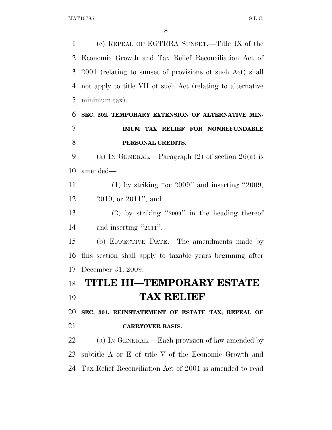(c) REPEAL OF EGTRRA SUNSET.—Title IX of the Economic Growth and Tax Relief Reconciliation Act of 2001 (relating to sunset of provisions of such Act) shall not apply to title VII of such Act (relating to alternative minimum tax). **SEC. 202. TEMPORARY EXTENSION OF ALTERNATIVE MIN- IMUM TAX RELIEF FOR NONREFUNDABLE PERSONAL CREDITS.**  9 (a) IN GENERAL.—Paragraph  $(2)$  of section  $26(a)$  is amended— 11 (1) by striking "or " and inserting " $2009$ , 2010, or 2011'', and (2) by striking ''2009'' in the heading thereof 14 and inserting "2011". (b) EFFECTIVE DATE.—The amendments made by this section shall apply to taxable years beginning after December 31, 2009. **TITLE III—TEMPORARY ESTATE TAX RELIEF SEC. 301. REINSTATEMENT OF ESTATE TAX; REPEAL OF CARRYOVER BASIS.**  22 (a) IN GENERAL.—Each provision of law amended by subtitle A or E of title V of the Economic Growth and Tax Relief Reconciliation Act of 2001 is amended to read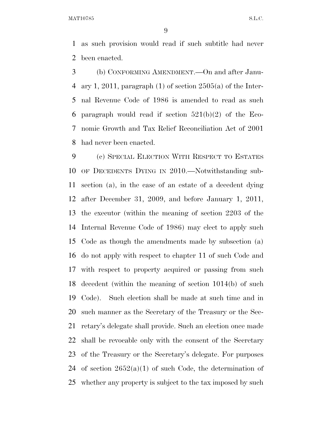as such provision would read if such subtitle had never been enacted.

 (b) CONFORMING AMENDMENT.—On and after Janu-4 ary 1, 2011, paragraph (1) of section  $2505(a)$  of the Inter- nal Revenue Code of 1986 is amended to read as such 6 paragraph would read if section  $521(b)(2)$  of the Eco- nomic Growth and Tax Relief Reconciliation Act of 2001 had never been enacted.

 (c) SPECIAL ELECTION WITH RESPECT TO ESTATES OF DECEDENTS DYING IN 2010.—Notwithstanding sub- section (a), in the case of an estate of a decedent dying after December 31, 2009, and before January 1, 2011, the executor (within the meaning of section 2203 of the Internal Revenue Code of 1986) may elect to apply such Code as though the amendments made by subsection (a) do not apply with respect to chapter 11 of such Code and with respect to property acquired or passing from such decedent (within the meaning of section 1014(b) of such Code). Such election shall be made at such time and in such manner as the Secretary of the Treasury or the Sec- retary's delegate shall provide. Such an election once made shall be revocable only with the consent of the Secretary of the Treasury or the Secretary's delegate. For purposes 24 of section  $2652(a)(1)$  of such Code, the determination of whether any property is subject to the tax imposed by such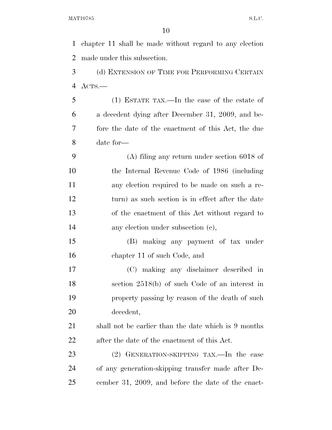chapter 11 shall be made without regard to any election made under this subsection. (d) EXTENSION OF TIME FOR PERFORMING CERTAIN ACTS.— (1) ESTATE TAX.—In the case of the estate of a decedent dying after December 31, 2009, and be- fore the date of the enactment of this Act, the due date for— (A) filing any return under section 6018 of the Internal Revenue Code of 1986 (including any election required to be made on such a re- turn) as such section is in effect after the date of the enactment of this Act without regard to any election under subsection (c), (B) making any payment of tax under chapter 11 of such Code, and (C) making any disclaimer described in section 2518(b) of such Code of an interest in property passing by reason of the death of such decedent, shall not be earlier than the date which is 9 months after the date of the enactment of this Act. (2) GENERATION-SKIPPING TAX.—In the case of any generation-skipping transfer made after De-cember 31, 2009, and before the date of the enact-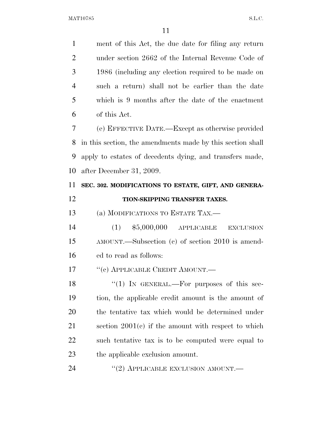| $\mathbf{1}$   | ment of this Act, the due date for filing any return       |
|----------------|------------------------------------------------------------|
| $\overline{2}$ | under section 2662 of the Internal Revenue Code of         |
| 3              | 1986 (including any election required to be made on        |
| $\overline{4}$ | such a return) shall not be earlier than the date          |
| 5              | which is 9 months after the date of the enactment          |
| 6              | of this Act.                                               |
| 7              | (e) EFFECTIVE DATE.—Except as otherwise provided           |
| 8              | in this section, the amendments made by this section shall |
| 9              | apply to estates of decedents dying, and transfers made,   |
| 10             | after December 31, 2009.                                   |
| 11             | SEC. 302. MODIFICATIONS TO ESTATE, GIFT, AND GENERA-       |
| 12             | TION-SKIPPING TRANSFER TAXES.                              |
|                |                                                            |
| 13             | (a) MODIFICATIONS TO ESTATE TAX.—                          |
| 14             | $$5,000,000$ APPLICABLE<br>(1)<br><b>EXCLUSION</b>         |
| 15             | AMOUNT.—Subsection (c) of section 2010 is amend-           |
| 16             | ed to read as follows:                                     |
| 17             | "(c) APPLICABLE CREDIT AMOUNT.-                            |
| 18             | "(1) IN GENERAL.—For purposes of this sec-                 |
| 19             | tion, the applicable credit amount is the amount of        |
| 20             | the tentative tax which would be determined under          |
| 21             | section $2001(c)$ if the amount with respect to which      |
| 22             | such tentative tax is to be computed were equal to         |
| 23             | the applicable exclusion amount.                           |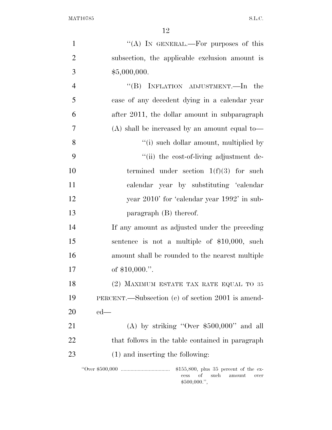| $\mathbf{1}$   | "(A) IN GENERAL.—For purposes of this               |
|----------------|-----------------------------------------------------|
| $\overline{2}$ | subsection, the applicable exclusion amount is      |
| 3              | \$5,000,000.                                        |
| $\overline{4}$ | "(B) INFLATION ADJUSTMENT.—In the                   |
| 5              | case of any decedent dying in a calendar year       |
| 6              | after 2011, the dollar amount in subparagraph       |
| $\overline{7}$ | $(A)$ shall be increased by an amount equal to-     |
| 8              | "(i) such dollar amount, multiplied by              |
| 9              | "(ii) the cost-of-living adjustment de-             |
| 10             | termined under section $1(f)(3)$ for such           |
| 11             | calendar year by substituting 'calendar             |
| 12             | year 2010' for 'calendar year 1992' in sub-         |
| 13             | paragraph $(B)$ thereof.                            |
| 14             | If any amount as adjusted under the preceding       |
| 15             | sentence is not a multiple of $$10,000$ , such      |
| 16             | amount shall be rounded to the nearest multiple     |
| 17             | of $$10,000."$ .                                    |
| 18             | (2) MAXIMUM ESTATE TAX RATE EQUAL TO 35             |
| 19             | PERCENT.—Subsection $(c)$ of section 2001 is amend- |
| 20             | $ed$ —                                              |
| 21             | (A) by striking "Over $$500,000"$ and all           |
| 22             | that follows in the table contained in paragraph    |
| 23             | $(1)$ and inserting the following:                  |
|                | οf<br>such<br>amount<br>cess<br>over                |

\$500,000.'',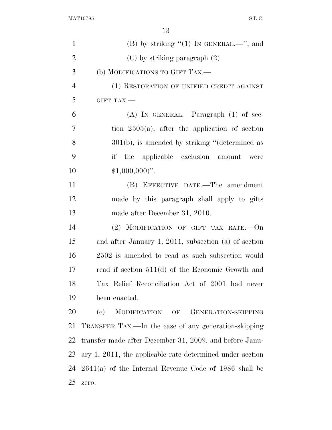| $\mathbf{1}$   | (B) by striking $(1)$ In GENERAL.—", and                     |
|----------------|--------------------------------------------------------------|
| $\overline{2}$ | $(C)$ by striking paragraph $(2)$ .                          |
| 3              | (b) MODIFICATIONS TO GIFT TAX.—                              |
| $\overline{4}$ | (1) RESTORATION OF UNIFIED CREDIT AGAINST                    |
| 5              | GIFT TAX.-                                                   |
| 6              | (A) IN GENERAL.—Paragraph $(1)$ of sec-                      |
| 7              | tion $2505(a)$ , after the application of section            |
| 8              | $301(b)$ , is amended by striking "(determined as            |
| 9              | if the applicable exclusion amount<br>were                   |
| 10             | $$1,000,000$ ".                                              |
| 11             | (B) EFFECTIVE DATE.—The amendment                            |
| 12             | made by this paragraph shall apply to gifts                  |
| 13             | made after December 31, 2010.                                |
| 14             | (2) MODIFICATION OF GIFT TAX RATE.-- On                      |
| 15             | and after January 1, 2011, subsection (a) of section         |
| 16             | 2502 is amended to read as such subsection would             |
| 17             | read if section $511(d)$ of the Economic Growth and          |
| 18             | Tax Relief Reconciliation Act of 2001 had never              |
| 19             | been enacted.                                                |
| 20             | (e)<br>MODIFICATION<br>GENERATION-SKIPPING<br>OF             |
| 21             | TRANSFER TAX.—In the case of any generation-skipping         |
| 22             | transfer made after December 31, 2009, and before Janu-      |
| 23             | ary $1, 2011$ , the applicable rate determined under section |
| 24             | $2641(a)$ of the Internal Revenue Code of 1986 shall be      |
| 25             | zero.                                                        |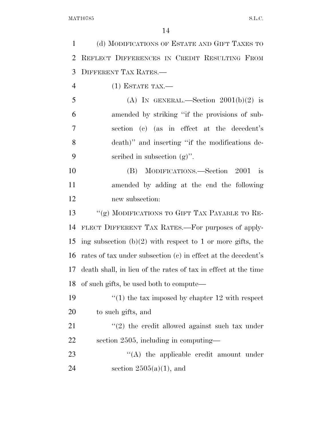| $\mathbf{1}$   | (d) MODIFICATIONS OF ESTATE AND GIFT TAXES TO                  |
|----------------|----------------------------------------------------------------|
| $\overline{2}$ | REFLECT DIFFERENCES IN CREDIT RESULTING FROM                   |
| 3              | DIFFERENT TAX RATES.—                                          |
| $\overline{4}$ | $(1)$ ESTATE TAX.—                                             |
| 5              | (A) IN GENERAL.—Section $2001(b)(2)$ is                        |
| 6              | amended by striking "if the provisions of sub-                 |
| 7              | section (c) (as in effect at the decedent's                    |
| 8              | death)" and inserting "if the modifications de-                |
| 9              | scribed in subsection $(g)$ ".                                 |
| 10             | MODIFICATIONS.—Section 2001<br>$\frac{1}{1}$<br>(B)            |
| 11             | amended by adding at the end the following                     |
| 12             | new subsection:                                                |
| 13             | "(g) MODIFICATIONS TO GIFT TAX PAYABLE TO RE-                  |
| 14             | FLECT DIFFERENT TAX RATES.—For purposes of apply-              |
| 15             | ing subsection $(b)(2)$ with respect to 1 or more gifts, the   |
| 16             | rates of tax under subsection (c) in effect at the decedent's  |
| 17             | death shall, in lieu of the rates of tax in effect at the time |
| 18             | of such gifts, be used both to compute—                        |
| 19             | $\lq(1)$ the tax imposed by chapter 12 with respect            |
| 20             | to such gifts, and                                             |
| 21             | $\lq(2)$ the credit allowed against such tax under             |
| 22             | section $2505$ , including in computing—                       |
| 23             | $\lq\lq$ the applicable credit amount under                    |
| 24             | section $2505(a)(1)$ , and                                     |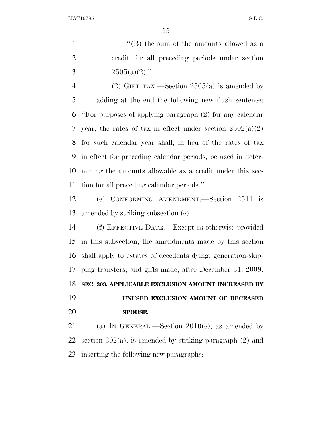1 ''(B) the sum of the amounts allowed as a credit for all preceding periods under section 3  $2505(a)(2)$ .".

4 (2) GIFT TAX.—Section  $2505(a)$  is amended by adding at the end the following new flush sentence: ''For purposes of applying paragraph (2) for any calendar 7 year, the rates of tax in effect under section  $2502(a)(2)$  for such calendar year shall, in lieu of the rates of tax in effect for preceding calendar periods, be used in deter- mining the amounts allowable as a credit under this sec-tion for all preceding calendar periods.''.

 (e) CONFORMING AMENDMENT.—Section 2511 is amended by striking subsection (c).

 (f) EFFECTIVE DATE.—Except as otherwise provided in this subsection, the amendments made by this section shall apply to estates of decedents dying, generation-skip- ping transfers, and gifts made, after December 31, 2009. **SEC. 303. APPLICABLE EXCLUSION AMOUNT INCREASED BY UNUSED EXCLUSION AMOUNT OF DECEASED SPOUSE.** 

21 (a) IN GENERAL.—Section  $2010(c)$ , as amended by 22 section  $302(a)$ , is amended by striking paragraph  $(2)$  and inserting the following new paragraphs: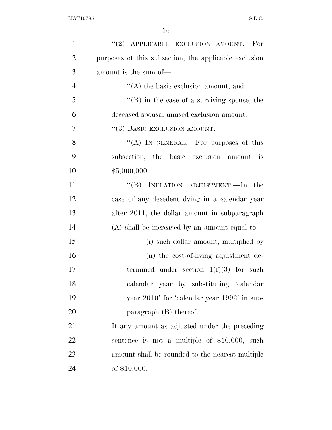| $\mathbf{1}$   | "(2) APPLICABLE EXCLUSION AMOUNT.-For                 |
|----------------|-------------------------------------------------------|
| $\overline{2}$ | purposes of this subsection, the applicable exclusion |
| 3              | amount is the sum of-                                 |
| $\overline{4}$ | $\lq\lq$ the basic exclusion amount, and              |
| 5              | $\lq\lq$ (B) in the case of a surviving spouse, the   |
| 6              | deceased spousal unused exclusion amount.             |
| $\overline{7}$ | "(3) BASIC EXCLUSION AMOUNT.—                         |
| 8              | "(A) IN GENERAL.—For purposes of this                 |
| 9              | subsection, the basic exclusion amount is             |
| 10             | \$5,000,000.                                          |
| 11             | "(B) INFLATION ADJUSTMENT.—In the                     |
| 12             | case of any decedent dying in a calendar year         |
| 13             | after 2011, the dollar amount in subparagraph         |
| 14             | $(A)$ shall be increased by an amount equal to-       |
| 15             | "(i) such dollar amount, multiplied by                |
| 16             | "(ii) the cost-of-living adjustment de-               |
| 17             | termined under section $1(f)(3)$ for such             |
| 18             | calendar year by substituting 'calendar               |
| 19             | year 2010' for 'calendar year 1992' in sub-           |
| 20             | paragraph $(B)$ thereof.                              |
| 21             | If any amount as adjusted under the preceding         |
| 22             | sentence is not a multiple of $$10,000$ , such        |
| 23             | amount shall be rounded to the nearest multiple       |
| 24             | of $$10,000$ .                                        |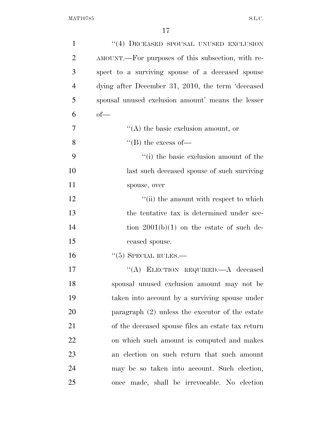| $\mathbf{1}$   | $``(4)$ DECEASED SPOUSAL UNUSED EXCLUSION         |
|----------------|---------------------------------------------------|
| $\overline{2}$ | AMOUNT.—For purposes of this subsection, with re- |
| 3              | spect to a surviving spouse of a deceased spouse  |
| $\overline{4}$ | dying after December 31, 2010, the term 'deceased |
| 5              | spousal unused exclusion amount' means the lesser |
| 6              | $of$ —                                            |
| 7              | $\lq\lq$ the basic exclusion amount, or           |
| 8              | $\lq\lq (B)$ the excess of —                      |
| 9              | "(i) the basic exclusion amount of the            |
| 10             | last such deceased spouse of such surviving       |
| 11             | spouse, over                                      |
| 12             | "(ii) the amount with respect to which            |
| 13             | the tentative tax is determined under sec-        |
| 14             | tion $2001(b)(1)$ on the estate of such de-       |
| 15             | ceased spouse.                                    |
| 16             | $\cdot\cdot$ (5) SPECIAL RULES.—                  |
| 17             | "(A) ELECTION REQUIRED.—A deceased                |
| 18             | spousal unused exclusion amount may not be        |
| 19             | taken into account by a surviving spouse under    |
| 20             | paragraph $(2)$ unless the executor of the estate |
| 21             | of the deceased spouse files an estate tax return |
| 22             | on which such amount is computed and makes        |
| 23             | an election on such return that such amount       |
| 24             | may be so taken into account. Such election,      |
| 25             | once made, shall be irrevocable. No election      |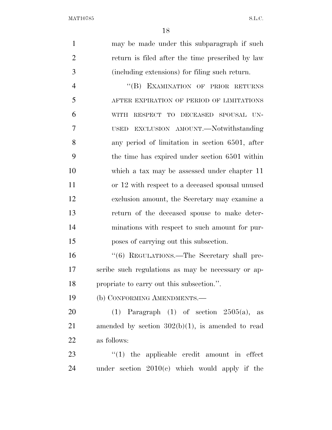may be made under this subparagraph if such return is filed after the time prescribed by law (including extensions) for filing such return. 4 "(B) EXAMINATION OF PRIOR RETURNS AFTER EXPIRATION OF PERIOD OF LIMITATIONS WITH RESPECT TO DECEASED SPOUSAL UN- USED EXCLUSION AMOUNT.—Notwithstanding any period of limitation in section 6501, after the time has expired under section 6501 within which a tax may be assessed under chapter 11 or 12 with respect to a deceased spousal unused exclusion amount, the Secretary may examine a return of the deceased spouse to make deter- minations with respect to such amount for pur- poses of carrying out this subsection. ''(6) REGULATIONS.—The Secretary shall pre- scribe such regulations as may be necessary or ap- propriate to carry out this subsection.''. (b) CONFORMING AMENDMENTS.— 20 (1) Paragraph  $(1)$  of section  $2505(a)$ , as amended by section 302(b)(1), is amended to read as follows:

23  $\frac{1}{2}$  (1) the applicable credit amount in effect under section 2010(c) which would apply if the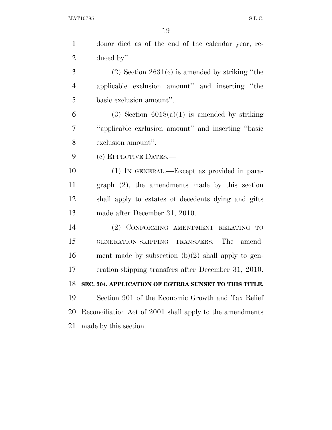| $\mathbf{1}$   | donor died as of the end of the calendar year, re-       |
|----------------|----------------------------------------------------------|
| $\overline{2}$ | duced by".                                               |
| 3              | $(2)$ Section 2631 $(e)$ is amended by striking "the     |
| $\overline{4}$ | applicable exclusion amount" and inserting "the          |
| 5              | basic exclusion amount".                                 |
| 6              | $(3)$ Section 6018(a)(1) is amended by striking          |
| 7              | "applicable exclusion amount" and inserting "basic       |
| 8              | exclusion amount".                                       |
| 9              | (c) EFFECTIVE DATES.-                                    |
| 10             | $(1)$ IN GENERAL.—Except as provided in para-            |
| 11             | $graph (2)$ , the amendments made by this section        |
| 12             | shall apply to estates of decedents dying and gifts      |
| 13             | made after December 31, 2010.                            |
| 14             | (2) CONFORMING AMENDMENT RELATING TO                     |
| 15             | GENERATION-SKIPPING TRANSFERS.—The amend-                |
| 16             | ment made by subsection $(b)(2)$ shall apply to gen-     |
| 17             | eration-skipping transfers after December 31, 2010.      |
| 18             | SEC. 304. APPLICATION OF EGTRRA SUNSET TO THIS TITLE.    |
| 19             | Section 901 of the Economic Growth and Tax Relief        |
| 20             | Reconciliation Act of 2001 shall apply to the amendments |
| 21             | made by this section.                                    |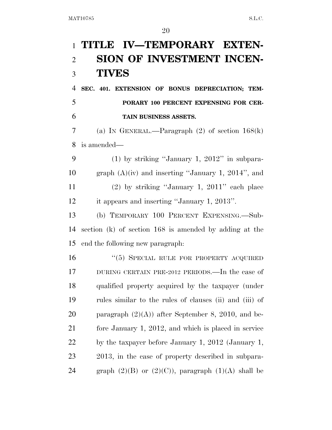# **TITLE IV—TEMPORARY EXTEN- SION OF INVESTMENT INCEN-TIVES**

 **SEC. 401. EXTENSION OF BONUS DEPRECIATION; TEM- PORARY 100 PERCENT EXPENSING FOR CER-TAIN BUSINESS ASSETS.** 

 (a) IN GENERAL.—Paragraph (2) of section 168(k) is amended—

 $(1)$  by striking "January 1, 2012" in subpara- graph (A)(iv) and inserting ''January 1, 2014'', and (2) by striking ''January 1, 2011'' each place it appears and inserting ''January 1, 2013''.

 (b) TEMPORARY 100 PERCENT EXPENSING.—Sub- section (k) of section 168 is amended by adding at the end the following new paragraph:

16 "(5) SPECIAL RULE FOR PROPERTY ACQUIRED DURING CERTAIN PRE-2012 PERIODS.—In the case of qualified property acquired by the taxpayer (under rules similar to the rules of clauses (ii) and (iii) of 20 paragraph  $(2)(A)$  after September 8, 2010, and be- fore January 1, 2012, and which is placed in service by the taxpayer before January 1, 2012 (January 1, 2013, in the case of property described in subpara-24 graph  $(2)(B)$  or  $(2)(C)$ , paragraph  $(1)(A)$  shall be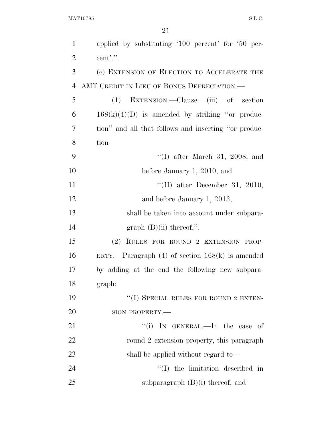| $\mathbf{1}$   | applied by substituting '100 percent' for '50 per-   |
|----------------|------------------------------------------------------|
| $\overline{2}$ | cent'.''.                                            |
| 3              | (c) EXTENSION OF ELECTION TO ACCELERATE THE          |
| $\overline{4}$ | AMT CREDIT IN LIEU OF BONUS DEPRECIATION.—           |
| 5              | EXTENSION.—Clause (iii) of section<br>(1)            |
| 6              | $168(k)(4)(D)$ is amended by striking "or produc-    |
| 7              | tion" and all that follows and inserting "or produc- |
| 8              | $tion$ —                                             |
| 9              | "(I) after March 31, 2008, and                       |
| 10             | before January 1, 2010, and                          |
| 11             | "(II) after December 31, 2010,                       |
| 12             | and before January 1, 2013,                          |
| 13             | shall be taken into account under subpara-           |
| 14             | graph $(B)(ii)$ thereof,".                           |
| 15             | (2)<br>RULES FOR ROUND 2 EXTENSION PROP-             |
| 16             | ERTY.—Paragraph $(4)$ of section $168(k)$ is amended |
| 17             | by adding at the end the following new subpara-      |
| 18             | graph:                                               |
| 19             | "(I) SPECIAL RULES FOR ROUND 2 EXTEN-                |
| 20             | SION PROPERTY.-                                      |
| 21             | "(i) In GENERAL.—In the case of                      |
| 22             | round 2 extension property, this paragraph           |
| 23             | shall be applied without regard to—                  |
| 24             | $\lq\lq$ (I) the limitation described in             |
| 25             | subparagraph $(B)(i)$ thereof, and                   |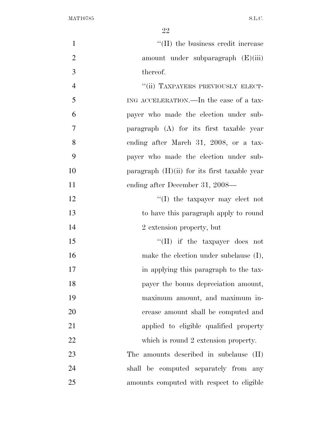| $\mathbf{1}$   | $\lq\lq$ (II) the business credit increase     |
|----------------|------------------------------------------------|
| $\overline{2}$ | amount under subparagraph $(E)(iii)$           |
| 3              | thereof.                                       |
| $\overline{4}$ | "(ii) TAXPAYERS PREVIOUSLY ELECT-              |
| 5              | ING ACCELERATION.—In the case of a tax-        |
| 6              | payer who made the election under sub-         |
| 7              | paragraph (A) for its first taxable year       |
| 8              | ending after March 31, 2008, or a tax-         |
| 9              | payer who made the election under sub-         |
| 10             | paragraph $(H)(ii)$ for its first taxable year |
| 11             | ending after December 31, 2008—                |
| 12             | $\lq\lq$ the taxpayer may elect not            |
| 13             | to have this paragraph apply to round          |
| 14             | 2 extension property, but                      |
| 15             | $``(II)$ if the taxpayer does not              |
| 16             | make the election under subclause $(I)$ ,      |
| 17             | in applying this paragraph to the tax-         |
| 18             | payer the bonus depreciation amount,           |
| 19             | maximum amount, and maximum in-                |
| 20             | crease amount shall be computed and            |
| 21             | applied to eligible qualified property         |
| 22             | which is round 2 extension property.           |
| 23             | The amounts described in subclause<br>(II)     |
| 24             | shall be computed separately from any          |
| 25             | amounts computed with respect to eligible      |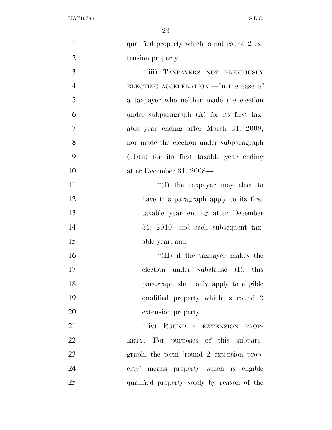| $\mathbf{1}$   | qualified property which is not round 2 ex- |
|----------------|---------------------------------------------|
| $\overline{2}$ | tension property.                           |
| 3              | "(iii) TAXPAYERS NOT PREVIOUSLY             |
| $\overline{4}$ | ELECTING ACCELERATION.—In the case of       |
| 5              | a taxpayer who neither made the election    |
| 6              | under subparagraph $(A)$ for its first tax- |
| $\overline{7}$ | able year ending after March 31, 2008,      |
| 8              | nor made the election under subparagraph    |
| 9              | $(H)(ii)$ for its first taxable year ending |
| 10             | after December 31, 2008-                    |
| 11             | $\lq\lq$ the taxpayer may elect to          |
| 12             | have this paragraph apply to its first      |
| 13             | taxable year ending after December          |
| 14             | 31, 2010, and each subsequent tax-          |
| 15             | able year, and                              |
| 16             | $\lq\lq$ (II) if the taxpayer makes the     |
| 17             | election under subclause $(I)$ , this       |
| 18             | paragraph shall only apply to eligible      |
| 19             | qualified property which is round 2         |
| 20             | extension property.                         |
| 21             | "(iv) ROUND 2 EXTENSION PROP-               |
| 22             | ERTY.—For purposes of this subpara-         |
| 23             | graph, the term 'round 2 extension prop-    |
| 24             | erty' means property which is eligible      |
| 25             | qualified property solely by reason of the  |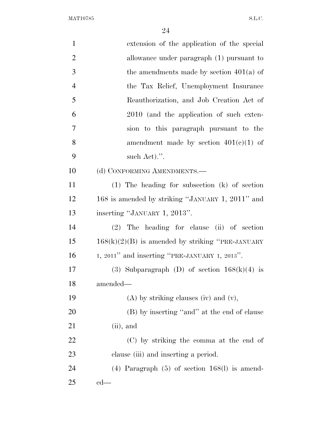| $\mathbf{1}$   | extension of the application of the special         |
|----------------|-----------------------------------------------------|
| $\overline{2}$ | allowance under paragraph (1) pursuant to           |
| 3              | the amendments made by section $401(a)$ of          |
| $\overline{4}$ | the Tax Relief, Unemployment Insurance              |
| 5              | Reauthorization, and Job Creation Act of            |
| 6              | 2010 (and the application of such exten-            |
| $\overline{7}$ | sion to this paragraph pursuant to the              |
| 8              | amendment made by section $401(e)(1)$ of            |
| 9              | such Act).".                                        |
| 10             | (d) CONFORMING AMENDMENTS.-                         |
| 11             | $(1)$ The heading for subsection $(k)$ of section   |
| 12             | 168 is amended by striking "JANUARY 1, 2011" and    |
| 13             | inserting "JANUARY 1, 2013".                        |
| 14             | $(2)$ The heading for clause (ii) of section        |
| 15             | $168(k)(2)(B)$ is amended by striking "PRE-JANUARY" |
| 16             | 1, 2011" and inserting "PRE-JANUARY 1, 2013".       |
| 17             | (3) Subparagraph (D) of section $168(k)(4)$ is      |
| 18             | amended-                                            |
| 19             | $(A)$ by striking clauses (iv) and (v),             |
| <b>20</b>      | (B) by inserting "and" at the end of clause         |
| 21             | $(ii)$ , and                                        |
| 22             | (C) by striking the comma at the end of             |
| 23             | clause (iii) and inserting a period.                |
| 24             | $(4)$ Paragraph $(5)$ of section 168(l) is amend-   |
| 25             | $ed$ —                                              |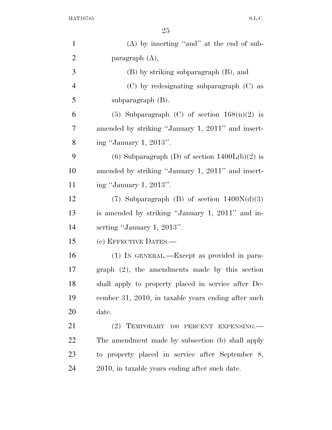| $\mathbf{1}$   | $(A)$ by inserting "and" at the end of sub-         |
|----------------|-----------------------------------------------------|
| $\overline{2}$ | paragraph $(A)$ ,                                   |
| 3              | (B) by striking subparagraph (B), and               |
| 4              | $(C)$ by redesignating subparagraph $(C)$ as        |
| 5              | subparagraph $(B)$ .                                |
| 6              | (5) Subparagraph (C) of section $168(n)(2)$ is      |
| 7              | amended by striking "January 1, 2011" and insert-   |
| 8              | ing "January 1, 2013".                              |
| 9              | (6) Subparagraph (D) of section $1400L(b)(2)$ is    |
| 10             | amended by striking "January 1, 2011" and insert-   |
| 11             | ing "January 1, 2013".                              |
| 12             | (7) Subparagraph (B) of section $1400N(d)(3)$       |
| 13             | is amended by striking "January 1, 2011" and in-    |
| 14             | serting "January 1, 2013".                          |
| 15             | (e) EFFECTIVE DATES.—                               |
| 16             | (1) IN GENERAL.—Except as provided in para-         |
| 17             | $graph (2)$ , the amendments made by this section   |
| 18             | shall apply to property placed in service after De- |
| 19             | cember 31, 2010, in taxable years ending after such |
| 20             | date.                                               |
| 21             | (2)<br>TEMPORARY 100 PERCENT EXPENSING.             |
| 22             | The amendment made by subsection (b) shall apply    |
| 23             | to property placed in service after September 8,    |
| 24             | 2010, in taxable years ending after such date.      |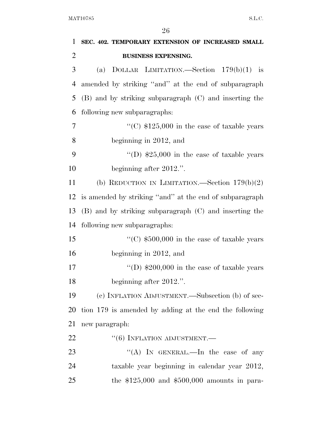| $\mathbf{1}$   | SEC. 402. TEMPORARY EXTENSION OF INCREASED SMALL        |
|----------------|---------------------------------------------------------|
| $\overline{2}$ | <b>BUSINESS EXPENSING.</b>                              |
| 3              | (a) DOLLAR LIMITATION.—Section $179(b)(1)$ is           |
| $\overline{4}$ | amended by striking "and" at the end of subparagraph    |
| 5              | (B) and by striking subparagraph (C) and inserting the  |
| 6              | following new subparagraphs:                            |
| 7              | "(C) $$125,000$ in the case of taxable years            |
| 8              | beginning in 2012, and                                  |
| 9              | "(D) $$25,000$ in the case of taxable years             |
| 10             | beginning after 2012.".                                 |
| 11             | (b) REDUCTION IN LIMITATION.—Section $179(b)(2)$        |
| 12             | is amended by striking "and" at the end of subparagraph |
| 13             | (B) and by striking subparagraph (C) and inserting the  |
| 14             | following new subparagraphs:                            |
| 15             | "(C) $$500,000$ in the case of taxable years            |
| 16             | beginning in 2012, and                                  |
| 17             | "(D) $$200,000$ in the case of taxable years            |
| 18             | beginning after 2012.".                                 |
| 19             | (c) INFLATION ADJUSTMENT.—Subsection (b) of sec-        |
| 20             | tion 179 is amended by adding at the end the following  |
| 21             | new paragraph:                                          |
| 22             | $``(6)$ INFLATION ADJUSTMENT.—                          |
| 23             | "(A) IN GENERAL.—In the case of any                     |
| 24             | taxable year beginning in calendar year 2012,           |
| 25             | the $$125,000$ and $$500,000$ amounts in para-          |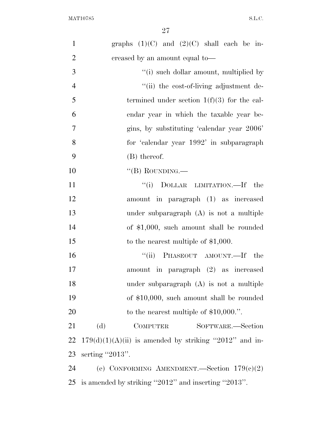| $\mathbf{1}$   | graphs $(1)(C)$ and $(2)(C)$ shall each be in-          |
|----------------|---------------------------------------------------------|
| $\overline{2}$ | creased by an amount equal to—                          |
| 3              | "(i) such dollar amount, multiplied by                  |
| $\overline{4}$ | "(ii) the cost-of-living adjustment de-                 |
| 5              | termined under section $1(f)(3)$ for the cal-           |
| 6              | endar year in which the taxable year be-                |
| $\overline{7}$ | gins, by substituting 'calendar year 2006'              |
| 8              | for 'calendar year 1992' in subparagraph                |
| 9              | (B) thereof.                                            |
| 10             | "(B) ROUNDING.—                                         |
| 11             | "(i) DOLLAR LIMITATION.—If the                          |
| 12             | amount in paragraph (1) as increased                    |
| 13             | under subparagraph (A) is not a multiple                |
| 14             | of $$1,000$ , such amount shall be rounded              |
| 15             | to the nearest multiple of $$1,000$ .                   |
| 16             | "(ii) PHASEOUT AMOUNT.—If the                           |
| 17             | amount in paragraph (2) as increased                    |
| 18             | under subparagraph $(A)$ is not a multiple              |
| 19             | of \$10,000, such amount shall be rounded               |
| 20             | to the nearest multiple of $$10,000$ .".                |
| 21             | (d)<br><b>COMPUTER</b><br>SOFTWARE.—Section             |
| 22             | $179(d)(1)(A(ii)$ is amended by striking "2012" and in- |
| 23             | serting "2013".                                         |
| 24             | (e) CONFORMING AMENDMENT.—Section $179(c)(2)$           |
|                | 25 is amended by striking "2012" and inserting "2013".  |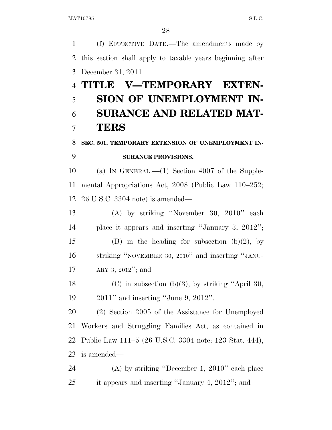(f) EFFECTIVE DATE.—The amendments made by this section shall apply to taxable years beginning after December 31, 2011.

# **TITLE V—TEMPORARY EXTEN- SION OF UNEMPLOYMENT IN- SURANCE AND RELATED MAT-TERS**

### **SEC. 501. TEMPORARY EXTENSION OF UNEMPLOYMENT IN-SURANCE PROVISIONS.**

 (a) IN GENERAL.—(1) Section 4007 of the Supple- mental Appropriations Act, 2008 (Public Law 110–252; 26 U.S.C. 3304 note) is amended—

 (A) by striking ''November 30, 2010'' each place it appears and inserting ''January 3, 2012''; 15 (B) in the heading for subsection  $(b)(2)$ , by striking ''NOVEMBER 30, 2010'' and inserting ''JANU-ARY 3, 2012''; and

18 (C) in subsection (b)(3), by striking "April 30, 2011'' and inserting ''June 9, 2012''.

 (2) Section 2005 of the Assistance for Unemployed Workers and Struggling Families Act, as contained in Public Law 111–5 (26 U.S.C. 3304 note; 123 Stat. 444), is amended—

 (A) by striking ''December 1, 2010'' each place it appears and inserting ''January 4, 2012''; and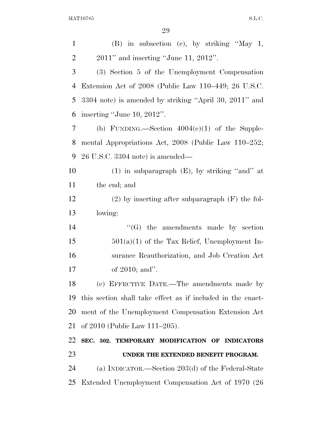| $\mathbf{1}$   | (B) in subsection (c), by striking "May 1,                  |
|----------------|-------------------------------------------------------------|
| $\overline{2}$ | $2011$ " and inserting "June 11, $2012$ ".                  |
| 3              | (3) Section 5 of the Unemployment Compensation              |
| 4              | Extension Act of 2008 (Public Law 110–449; 26 U.S.C.        |
| 5              | 3304 note) is amended by striking "April 30, 2011" and      |
| 6              | inserting "June 10, 2012".                                  |
| 7              | (b) FUNDING.—Section $4004(e)(1)$ of the Supple-            |
| 8              | mental Appropriations Act, 2008 (Public Law 110-252;        |
| 9              | 26 U.S.C. 3304 note) is amended—                            |
| 10             | $(1)$ in subparagraph $(E)$ , by striking "and" at          |
| 11             | the end; and                                                |
| 12             | $(2)$ by inserting after subparagraph $(F)$ the fol-        |
| 13             | lowing:                                                     |
| 14             | $\lq\lq(G)$ the amendments made by section                  |
|                |                                                             |
|                | $501(a)(1)$ of the Tax Relief, Unemployment In-             |
| 15<br>16       | surance Reauthorization, and Job Creation Act               |
|                | of $2010$ ; and".                                           |
| 18             | (c) EFFECTIVE DATE.—The amendments made by                  |
|                | this section shall take effect as if included in the enact- |
| 17<br>19<br>20 | ment of the Unemployment Compensation Extension Act         |
| 21             | of 2010 (Public Law 111–205).                               |
|                | SEC. 502. TEMPORARY MODIFICATION OF INDICATORS              |
| 22<br>23       | UNDER THE EXTENDED BENEFIT PROGRAM.                         |
| 24             | (a) INDICATOR.—Section $203(d)$ of the Federal-State        |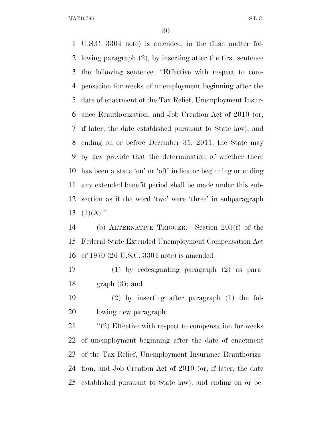U.S.C. 3304 note) is amended, in the flush matter fol- lowing paragraph (2), by inserting after the first sentence the following sentence: ''Effective with respect to com- pensation for weeks of unemployment beginning after the date of enactment of the Tax Relief, Unemployment Insur- ance Reauthorization, and Job Creation Act of 2010 (or, if later, the date established pursuant to State law), and ending on or before December 31, 2011, the State may by law provide that the determination of whether there has been a state 'on' or 'off' indicator beginning or ending any extended benefit period shall be made under this sub- section as if the word 'two' were 'three' in subparagraph  $(1)(A)$ .".

 (b) ALTERNATIVE TRIGGER.—Section 203(f) of the Federal-State Extended Unemployment Compensation Act of 1970 (26 U.S.C. 3304 note) is amended—

 (1) by redesignating paragraph (2) as para-18 graph  $(3)$ ; and

 (2) by inserting after paragraph (1) the fol-lowing new paragraph:

21 ''(2) Effective with respect to compensation for weeks of unemployment beginning after the date of enactment of the Tax Relief, Unemployment Insurance Reauthoriza- tion, and Job Creation Act of 2010 (or, if later, the date established pursuant to State law), and ending on or be-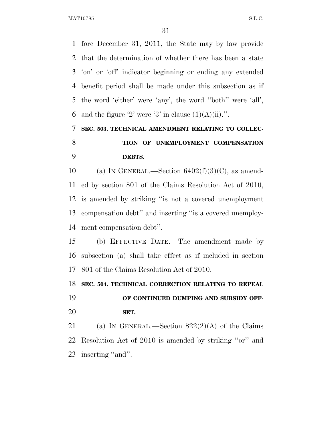fore December 31, 2011, the State may by law provide that the determination of whether there has been a state 'on' or 'off' indicator beginning or ending any extended benefit period shall be made under this subsection as if the word 'either' were 'any', the word ''both'' were 'all', 6 and the figure '2' were '3' in clause  $(1)(A)(ii)$ .".

 **SEC. 503. TECHNICAL AMENDMENT RELATING TO COLLEC- TION OF UNEMPLOYMENT COMPENSATION DEBTS.** 

10 (a) IN GENERAL.—Section  $6402(f)(3)(C)$ , as amend- ed by section 801 of the Claims Resolution Act of 2010, is amended by striking ''is not a covered unemployment compensation debt'' and inserting ''is a covered unemploy-ment compensation debt''.

 (b) EFFECTIVE DATE.—The amendment made by subsection (a) shall take effect as if included in section 801 of the Claims Resolution Act of 2010.

**SEC. 504. TECHNICAL CORRECTION RELATING TO REPEAL** 

 **OF CONTINUED DUMPING AND SUBSIDY OFF-SET.** 

21 (a) IN GENERAL.—Section  $822(2)(A)$  of the Claims Resolution Act of 2010 is amended by striking ''or'' and 23 inserting "and".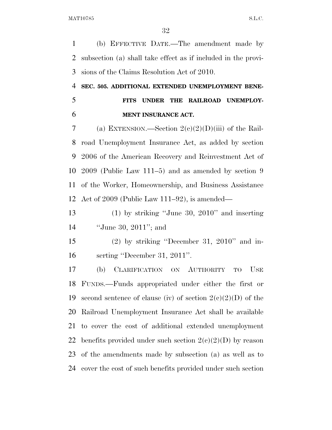(b) EFFECTIVE DATE.—The amendment made by subsection (a) shall take effect as if included in the provi-sions of the Claims Resolution Act of 2010.

 **SEC. 505. ADDITIONAL EXTENDED UNEMPLOYMENT BENE-FITS UNDER THE RAILROAD UNEMPLOY-**

# **MENT INSURANCE ACT.**

7 (a) EXTENSION.—Section  $2(c)(2)(D)(iii)$  of the Rail- road Unemployment Insurance Act, as added by section 2006 of the American Recovery and Reinvestment Act of 2009 (Public Law 111–5) and as amended by section 9 of the Worker, Homeownership, and Business Assistance Act of 2009 (Public Law 111–92), is amended—

 (1) by striking ''June 30, 2010'' and inserting 14 ''June 30, 2011''; and

 (2) by striking ''December 31, 2010'' and in-serting ''December 31, 2011''.

 (b) CLARIFICATION ON AUTHORITY TO USE FUNDS.—Funds appropriated under either the first or 19 second sentence of clause (iv) of section  $2(e)(2)(D)$  of the Railroad Unemployment Insurance Act shall be available to cover the cost of additional extended unemployment 22 benefits provided under such section  $2(c)(2)(D)$  by reason of the amendments made by subsection (a) as well as to cover the cost of such benefits provided under such section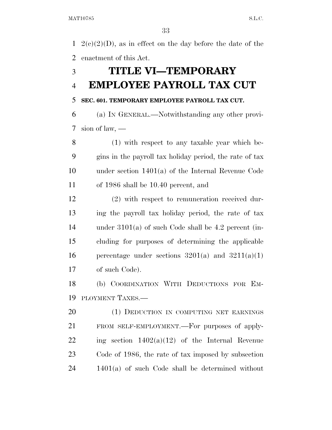1 2(c)(2)(D), as in effect on the day before the date of the enactment of this Act.

### **TITLE VI—TEMPORARY EMPLOYEE PAYROLL TAX CUT**

### **SEC. 601. TEMPORARY EMPLOYEE PAYROLL TAX CUT.**

 (a) IN GENERAL.—Notwithstanding any other provi-sion of law, —

 (1) with respect to any taxable year which be- gins in the payroll tax holiday period, the rate of tax under section 1401(a) of the Internal Revenue Code of 1986 shall be 10.40 percent, and

 (2) with respect to remuneration received dur- ing the payroll tax holiday period, the rate of tax under 3101(a) of such Code shall be 4.2 percent (in- cluding for purposes of determining the applicable 16 percentage under sections  $3201(a)$  and  $3211(a)(1)$ of such Code).

 (b) COORDINATION WITH DEDUCTIONS FOR EM-PLOYMENT TAXES.—

20 (1) DEDUCTION IN COMPUTING NET EARNINGS FROM SELF-EMPLOYMENT.—For purposes of apply-22 ing section  $1402(a)(12)$  of the Internal Revenue Code of 1986, the rate of tax imposed by subsection 1401(a) of such Code shall be determined without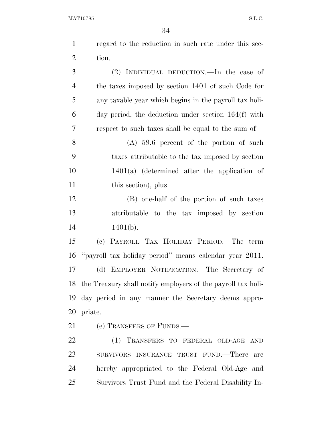| $\mathbf{1}$   | regard to the reduction in such rate under this sec-            |
|----------------|-----------------------------------------------------------------|
| $\overline{2}$ | tion.                                                           |
| 3              | (2) INDIVIDUAL DEDUCTION.—In the case of                        |
| $\overline{4}$ | the taxes imposed by section 1401 of such Code for              |
| 5              | any taxable year which begins in the payroll tax holi-          |
| 6              | day period, the deduction under section $164(f)$ with           |
| 7              | respect to such taxes shall be equal to the sum of—             |
| 8              | $(A)$ 59.6 percent of the portion of such                       |
| 9              | taxes attributable to the tax imposed by section                |
| 10             | $1401(a)$ (determined after the application of                  |
| 11             | this section), plus                                             |
| 12             | (B) one-half of the portion of such taxes                       |
| 13             | attributable to the tax imposed by section                      |
| 14             | $1401(b)$ .                                                     |
| 15             | (c) PAYROLL TAX HOLIDAY PERIOD.—The term                        |
| 16             | "payroll tax holiday period" means calendar year 2011.          |
| 17             | EMPLOYER NOTIFICATION.—The Secretary of<br>(d)                  |
|                | 18 the Treasury shall notify employers of the payroll tax holi- |
| 19             | day period in any manner the Secretary deems appro-             |
| 20             | priate.                                                         |
| 21             | (e) TRANSFERS OF FUNDS.—                                        |
| າາ             | $(1)$ Teansfree to EEDERI OLD LOR<br>A NTIN                     |

 (1) TRANSFERS TO FEDERAL OLD-AGE AND SURVIVORS INSURANCE TRUST FUND.—There are hereby appropriated to the Federal Old-Age and Survivors Trust Fund and the Federal Disability In-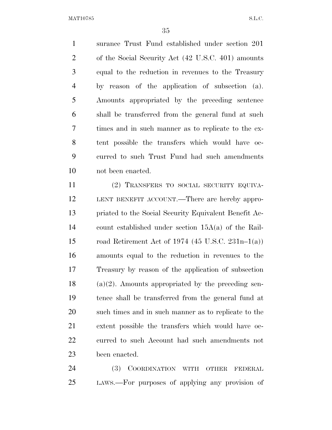surance Trust Fund established under section 201 of the Social Security Act (42 U.S.C. 401) amounts equal to the reduction in revenues to the Treasury by reason of the application of subsection (a). Amounts appropriated by the preceding sentence shall be transferred from the general fund at such times and in such manner as to replicate to the ex- tent possible the transfers which would have oc- curred to such Trust Fund had such amendments not been enacted.

 (2) TRANSFERS TO SOCIAL SECURITY EQUIVA-12 LENT BENEFIT ACCOUNT.—There are hereby appro- priated to the Social Security Equivalent Benefit Ac- count established under section 15A(a) of the Rail-15 road Retirement Act of 1974  $(45 \text{ U.S.C. } 231 \text{ n} - 1(a))$  amounts equal to the reduction in revenues to the Treasury by reason of the application of subsection (a)(2). Amounts appropriated by the preceding sen- tence shall be transferred from the general fund at such times and in such manner as to replicate to the extent possible the transfers which would have oc- curred to such Account had such amendments not been enacted.

 (3) COORDINATION WITH OTHER FEDERAL LAWS.—For purposes of applying any provision of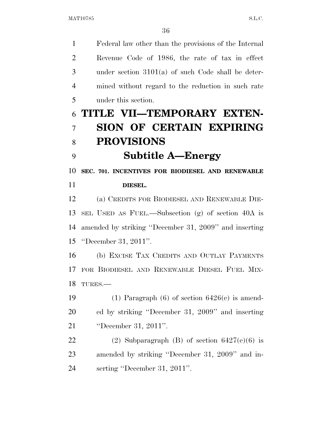Federal law other than the provisions of the Internal Revenue Code of 1986, the rate of tax in effect under section 3101(a) of such Code shall be deter- mined without regard to the reduction in such rate under this section. **TITLE VII—TEMPORARY EXTEN-SION OF CERTAIN EXPIRING** 

# **PROVISIONS**

### **Subtitle A—Energy**

 **SEC. 701. INCENTIVES FOR BIODIESEL AND RENEWABLE DIESEL.** 

 (a) CREDITS FOR BIODIESEL AND RENEWABLE DIE- SEL USED AS FUEL.—Subsection (g) of section 40A is amended by striking ''December 31, 2009'' and inserting ''December 31, 2011''.

 (b) EXCISE TAX CREDITS AND OUTLAY PAYMENTS FOR BIODIESEL AND RENEWABLE DIESEL FUEL MIX-TURES.—

19 (1) Paragraph  $(6)$  of section  $6426(c)$  is amend- ed by striking ''December 31, 2009'' and inserting ''December 31, 2011''.

22 (2) Subparagraph (B) of section  $6427(e)(6)$  is amended by striking ''December 31, 2009'' and in-serting ''December 31, 2011''.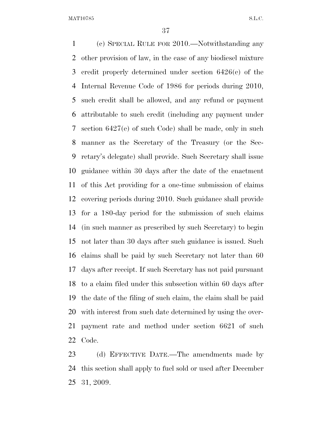(c) SPECIAL RULE FOR 2010.—Notwithstanding any other provision of law, in the case of any biodiesel mixture credit properly determined under section 6426(c) of the Internal Revenue Code of 1986 for periods during 2010, such credit shall be allowed, and any refund or payment attributable to such credit (including any payment under section 6427(e) of such Code) shall be made, only in such manner as the Secretary of the Treasury (or the Sec- retary's delegate) shall provide. Such Secretary shall issue guidance within 30 days after the date of the enactment of this Act providing for a one-time submission of claims covering periods during 2010. Such guidance shall provide for a 180-day period for the submission of such claims (in such manner as prescribed by such Secretary) to begin not later than 30 days after such guidance is issued. Such claims shall be paid by such Secretary not later than 60 days after receipt. If such Secretary has not paid pursuant to a claim filed under this subsection within 60 days after the date of the filing of such claim, the claim shall be paid with interest from such date determined by using the over- payment rate and method under section 6621 of such Code.

 (d) EFFECTIVE DATE.—The amendments made by this section shall apply to fuel sold or used after December 31, 2009.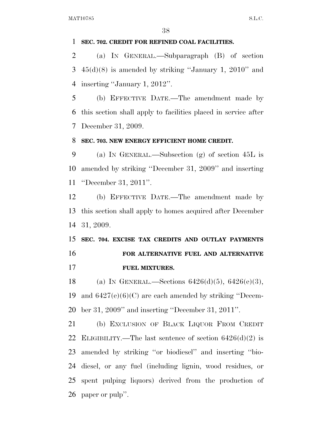#### **SEC. 702. CREDIT FOR REFINED COAL FACILITIES.**

 (a) IN GENERAL.—Subparagraph (B) of section 3  $45(d)(8)$  is amended by striking "January 1, 2010" and inserting ''January 1, 2012''.

 (b) EFFECTIVE DATE.—The amendment made by this section shall apply to facilities placed in service after December 31, 2009.

#### **SEC. 703. NEW ENERGY EFFICIENT HOME CREDIT.**

 (a) IN GENERAL.—Subsection (g) of section 45L is amended by striking ''December 31, 2009'' and inserting ''December 31, 2011''.

 (b) EFFECTIVE DATE.—The amendment made by this section shall apply to homes acquired after December 31, 2009.

 **SEC. 704. EXCISE TAX CREDITS AND OUTLAY PAYMENTS FOR ALTERNATIVE FUEL AND ALTERNATIVE FUEL MIXTURES.** 

18 (a) IN GENERAL.—Sections  $6426(d)(5)$ ,  $6426(e)(3)$ , 19 and  $6427(e)(6)(C)$  are each amended by striking "Decem-ber 31, 2009'' and inserting ''December 31, 2011''.

 (b) EXCLUSION OF BLACK LIQUOR FROM CREDIT 22 ELIGIBILITY.—The last sentence of section  $6426(d)(2)$  is amended by striking ''or biodiesel'' and inserting ''bio- diesel, or any fuel (including lignin, wood residues, or spent pulping liquors) derived from the production of paper or pulp''.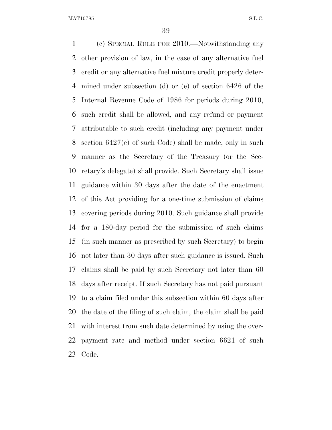(c) SPECIAL RULE FOR 2010.—Notwithstanding any other provision of law, in the case of any alternative fuel credit or any alternative fuel mixture credit properly deter- mined under subsection (d) or (e) of section 6426 of the Internal Revenue Code of 1986 for periods during 2010, such credit shall be allowed, and any refund or payment attributable to such credit (including any payment under section 6427(e) of such Code) shall be made, only in such manner as the Secretary of the Treasury (or the Sec- retary's delegate) shall provide. Such Secretary shall issue guidance within 30 days after the date of the enactment of this Act providing for a one-time submission of claims covering periods during 2010. Such guidance shall provide for a 180-day period for the submission of such claims (in such manner as prescribed by such Secretary) to begin not later than 30 days after such guidance is issued. Such claims shall be paid by such Secretary not later than 60 days after receipt. If such Secretary has not paid pursuant to a claim filed under this subsection within 60 days after the date of the filing of such claim, the claim shall be paid with interest from such date determined by using the over- payment rate and method under section 6621 of such Code.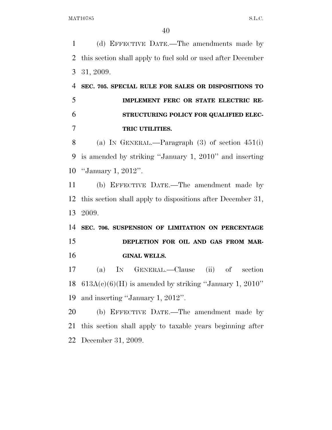(d) EFFECTIVE DATE.—The amendments made by this section shall apply to fuel sold or used after December 31, 2009.

# **SEC. 705. SPECIAL RULE FOR SALES OR DISPOSITIONS TO IMPLEMENT FERC OR STATE ELECTRIC RE- STRUCTURING POLICY FOR QUALIFIED ELEC-TRIC UTILITIES.**

 (a) IN GENERAL.—Paragraph (3) of section 451(i) is amended by striking ''January 1, 2010'' and inserting ''January 1, 2012''.

 (b) EFFECTIVE DATE.—The amendment made by this section shall apply to dispositions after December 31, 2009.

 **SEC. 706. SUSPENSION OF LIMITATION ON PERCENTAGE DEPLETION FOR OIL AND GAS FROM MAR-GINAL WELLS.** 

 (a) IN GENERAL.—Clause (ii) of section 18  $613A(c)(6)(H)$  is amended by striking "January 1, 2010" and inserting ''January 1, 2012''.

 (b) EFFECTIVE DATE.—The amendment made by this section shall apply to taxable years beginning after December 31, 2009.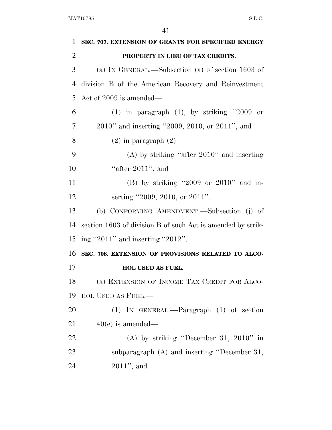| 1              | SEC. 707. EXTENSION OF GRANTS FOR SPECIFIED ENERGY          |
|----------------|-------------------------------------------------------------|
| $\overline{2}$ | PROPERTY IN LIEU OF TAX CREDITS.                            |
| 3              | (a) IN GENERAL.—Subsection (a) of section $1603$ of         |
| $\overline{4}$ | division B of the American Recovery and Reinvestment        |
| 5              | Act of $2009$ is amended—                                   |
| 6              | $(1)$ in paragraph $(1)$ , by striking "2009 or             |
| $\overline{7}$ | 2010" and inserting "2009, 2010, or 2011", and              |
| 8              | $(2)$ in paragraph $(2)$ —                                  |
| 9              | $(A)$ by striking "after 2010" and inserting                |
| 10             | "after $2011$ ", and                                        |
| 11             | (B) by striking "2009 or $2010$ " and in-                   |
| 12             | serting "2009, 2010, or 2011".                              |
| 13             | (b) CONFORMING AMENDMENT.—Subsection (j) of                 |
| 14             | section 1603 of division B of such Act is amended by strik- |
| 15             | ing "2011" and inserting "2012".                            |
| 16             | SEC. 708. EXTENSION OF PROVISIONS RELATED TO ALCO-          |
| 17             | HOL USED AS FUEL.                                           |
| 18             | (a) EXTENSION OF INCOME TAX CREDIT FOR ALCO-                |
| 19             | HOL USED AS FUEL.—                                          |
| 20             | $(1)$ IN GENERAL.—Paragraph $(1)$ of section                |
| 21             | $40(e)$ is amended—                                         |
| 22             | (A) by striking "December 31, $2010"$ in                    |
| 23             | subparagraph $(A)$ and inserting "December 31,              |
| 24             | $2011$ ", and                                               |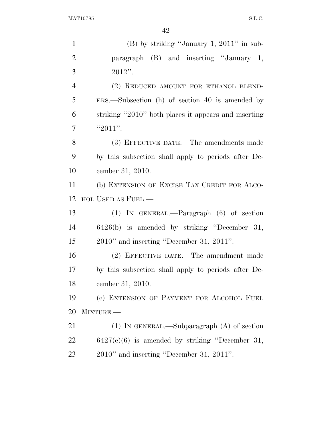| $\mathbf{1}$   | $(B)$ by striking "January 1, 2011" in sub-          |
|----------------|------------------------------------------------------|
| $\overline{2}$ | paragraph (B) and inserting "January 1,              |
| 3              | $2012"$ .                                            |
| $\overline{4}$ | (2) REDUCED AMOUNT FOR ETHANOL BLEND-                |
| 5              | $ERS.$ Subsection (h) of section 40 is amended by    |
| 6              | striking "2010" both places it appears and inserting |
| $\overline{7}$ | "2011".                                              |
| 8              | (3) EFFECTIVE DATE.—The amendments made              |
| 9              | by this subsection shall apply to periods after De-  |
| 10             | cember 31, 2010.                                     |
| 11             | (b) EXTENSION OF EXCISE TAX CREDIT FOR ALCO-         |
| 12             | HOL USED AS FUEL.—                                   |
| 13             | $(1)$ IN GENERAL.—Paragraph $(6)$ of section         |
| 14             | $6426(b)$ is amended by striking "December 31,       |
| 15             | $2010"$ and inserting "December 31, 2011".           |
| 16             | (2) EFFECTIVE DATE.—The amendment made               |
| 17             | by this subsection shall apply to periods after De-  |
| 18             | cember 31, 2010.                                     |
| 19             | (c) EXTENSION OF PAYMENT FOR ALCOHOL FUEL            |
| 20             | MIXTURE.-                                            |
| 21             | $(1)$ In GENERAL.—Subparagraph $(A)$ of section      |
| 22             | $6427(e)(6)$ is amended by striking "December 31,    |
| 23             | $2010"$ and inserting "December 31, 2011".           |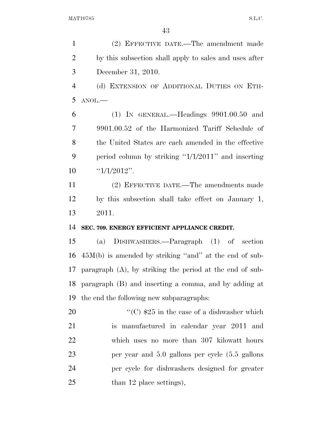(2) EFFECTIVE DATE.—The amendment made by this subsection shall apply to sales and uses after December 31, 2010. (d) EXTENSION OF ADDITIONAL DUTIES ON ETH- ANOL.— (1) IN GENERAL.—Headings 9901.00.50 and 9901.00.52 of the Harmonized Tariff Schedule of the United States are each amended in the effective period column by striking ''1/1/2011'' and inserting  $\frac{1}{1/1/2012}$ ". (2) EFFECTIVE DATE.—The amendments made by this subsection shall take effect on January 1, 2011. **SEC. 709. ENERGY EFFICIENT APPLIANCE CREDIT.**  (a) DISHWASHERS.—Paragraph (1) of section 45M(b) is amended by striking ''and'' at the end of sub- paragraph (A), by striking the period at the end of sub- paragraph (B) and inserting a comma, and by adding at the end the following new subparagraphs:  $\frac{1}{25}$  in the case of a dishwasher which is manufactured in calendar year 2011 and which uses no more than 307 kilowatt hours per year and 5.0 gallons per cycle (5.5 gallons per cycle for dishwashers designed for greater

25 than 12 place settings),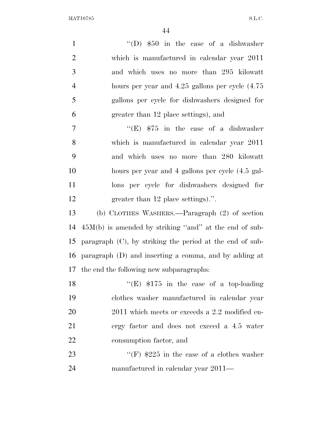$''(D)$  \$50 in the case of a dishwasher which is manufactured in calendar year 2011 and which uses no more than 295 kilowatt hours per year and 4.25 gallons per cycle (4.75 gallons per cycle for dishwashers designed for greater than 12 place settings), and 7 ''(E)  $$75$  in the case of a dishwasher which is manufactured in calendar year 2011 and which uses no more than 280 kilowatt hours per year and 4 gallons per cycle (4.5 gal- lons per cycle for dishwashers designed for 12 greater than 12 place settings).". (b) CLOTHES WASHERS.—Paragraph (2) of section 45M(b) is amended by striking ''and'' at the end of sub- paragraph (C), by striking the period at the end of sub- paragraph (D) and inserting a comma, and by adding at the end the following new subparagraphs:  $\text{``(E)}$  \$175 in the case of a top-loading clothes washer manufactured in calendar year 20 2011 which meets or exceeds a 2.2 modified en- ergy factor and does not exceed a 4.5 water consumption factor, and  $\text{``(F)}$  \$225 in the case of a clothes washer

manufactured in calendar year 2011—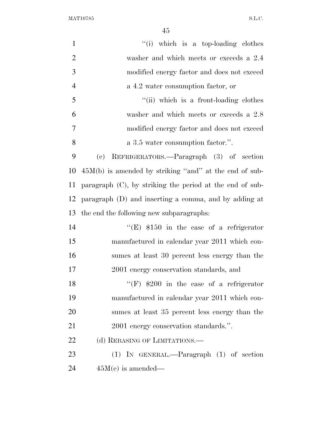| $\mathbf{1}$   | "(i) which is a top-loading clothes                      |
|----------------|----------------------------------------------------------|
| $\overline{2}$ | washer and which meets or exceeds a 2.4                  |
| 3              | modified energy factor and does not exceed               |
| $\overline{4}$ | a 4.2 water consumption factor, or                       |
| 5              | "(ii) which is a front-loading clothes                   |
| 6              | washer and which meets or exceeds a 2.8                  |
| 7              | modified energy factor and does not exceed               |
| 8              | a 3.5 water consumption factor.".                        |
| 9              | REFRIGERATORS.—Paragraph (3) of section<br>(e)           |
| 10             | $45M(b)$ is amended by striking "and" at the end of sub- |
| 11             | paragraph (C), by striking the period at the end of sub- |
| 12             | paragraph $(D)$ and inserting a comma, and by adding at  |
| 13             | the end the following new subparagraphs:                 |
| 14             | "(E) $$150$ in the case of a refrigerator                |
| 15             | manufactured in calendar year 2011 which con-            |
| 16             | sumes at least 30 percent less energy than the           |
| 17             | 2001 energy conservation standards, and                  |
| 18             | "(F) $$200$ in the case of a refrigerator                |
| 19             | manufactured in calendar year 2011 which con-            |
| 20             | sumes at least 35 percent less energy than the           |
| 21             | 2001 energy conservation standards.".                    |
| 22             | (d) REBASING OF LIMITATIONS.—                            |
| 23             | $(1)$ IN GENERAL.—Paragraph $(1)$ of section             |
| 24             | $45M(e)$ is amended—                                     |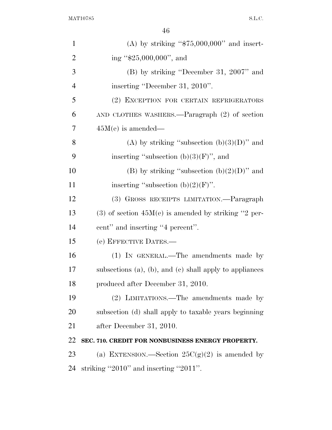| $\mathbf{1}$   | (A) by striking " $\$75,000,000$ " and insert-                  |
|----------------|-----------------------------------------------------------------|
| $\overline{2}$ | ing " $$25,000,000$ ", and                                      |
| 3              | $(B)$ by striking "December 31, 2007" and                       |
| $\overline{4}$ | inserting "December 31, 2010".                                  |
| 5              | (2) EXCEPTION FOR CERTAIN REFRIGERATORS                         |
| 6              | AND CLOTHES WASHERS.—Paragraph (2) of section                   |
| 7              | $45M(e)$ is amended—                                            |
| 8              | (A) by striking "subsection $(b)(3)(D)$ " and                   |
| 9              | inserting "subsection $(b)(3)(F)$ ", and                        |
| 10             | (B) by striking "subsection $(b)(2)(D)$ " and                   |
| 11             | inserting "subsection $(b)(2)(F)$ ".                            |
| 12             | (3) GROSS RECEIPTS LIMITATION. - Paragraph                      |
| 13             | $(3)$ of section $45M(e)$ is amended by striking "2 per-        |
| 14             | cent" and inserting "4 percent".                                |
| 15             | (e) EFFECTIVE DATES.—                                           |
| 16             | (1) IN GENERAL.—The amendments made by                          |
| 17             | subsections $(a)$ , $(b)$ , and $(c)$ shall apply to appliances |
| 18             | produced after December 31, 2010.                               |
| 19             | (2) LIMITATIONS.—The amendments made by                         |
| 20             | subsection (d) shall apply to taxable years beginning           |
| 21             | after December 31, 2010.                                        |
| 22             | SEC. 710. CREDIT FOR NONBUSINESS ENERGY PROPERTY.               |
| 23             | (a) EXTENSION.—Section $25C(g)(2)$ is amended by                |
| 24             | striking "2010" and inserting "2011".                           |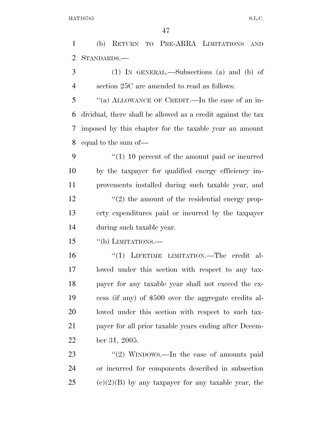(b) RETURN TO PRE-ARRA LIMITATIONS AND STANDARDS.—

 (1) IN GENERAL.—Subsections (a) and (b) of section 25C are amended to read as follows:

 ''(a) ALLOWANCE OF CREDIT.—In the case of an in- dividual, there shall be allowed as a credit against the tax imposed by this chapter for the taxable year an amount equal to the sum of—

9 ''(1) 10 percent of the amount paid or incurred by the taxpayer for qualified energy efficiency im- provements installed during such taxable year, and 12 ''(2) the amount of the residential energy prop- erty expenditures paid or incurred by the taxpayer during such taxable year.

''(b) LIMITATIONS.—

 ''(1) LIFETIME LIMITATION.—The credit al- lowed under this section with respect to any tax- payer for any taxable year shall not exceed the ex- cess (if any) of \$500 over the aggregate credits al- lowed under this section with respect to such tax- payer for all prior taxable years ending after Decem-ber 31, 2005.

23 ''(2) WINDOWS.—In the case of amounts paid or incurred for components described in subsection (c)(2)(B) by any taxpayer for any taxable year, the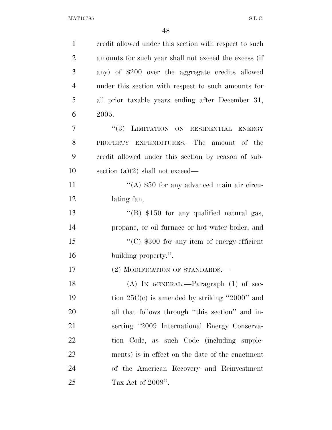| $\mathbf{1}$   | credit allowed under this section with respect to such |
|----------------|--------------------------------------------------------|
| $\overline{2}$ | amounts for such year shall not exceed the excess (if  |
| 3              | any) of \$200 over the aggregate credits allowed       |
| $\overline{4}$ | under this section with respect to such amounts for    |
| 5              | all prior taxable years ending after December 31,      |
| 6              | 2005.                                                  |
| 7              | "(3) LIMITATION ON RESIDENTIAL ENERGY                  |
| 8              | PROPERTY EXPENDITURES.—The amount of the               |
| 9              | credit allowed under this section by reason of sub-    |
| 10             | section $(a)(2)$ shall not exceed—                     |
| 11             | "(A) $$50$ for any advanced main air circu-            |
| 12             | lating fan,                                            |
| 13             | "(B) $$150$ for any qualified natural gas,             |
| 14             | propane, or oil furnace or hot water boiler, and       |
| 15             | $\cdot$ (C) \$300 for any item of energy-efficient     |
| 16             | building property.".                                   |
| 17             | (2) MODIFICATION OF STANDARDS.—                        |
| 18             | $(A)$ IN GENERAL.—Paragraph $(1)$ of sec-              |
| 19             | tion $25C(c)$ is amended by striking "2000" and        |
| 20             | all that follows through "this section" and in-        |
| 21             | serting "2009 International Energy Conserva-           |
| 22             | tion Code, as such Code (including supple-             |
| 23             | ments) is in effect on the date of the enactment       |
| 24             | of the American Recovery and Reinvestment              |
| 25             | Tax Act of 2009".                                      |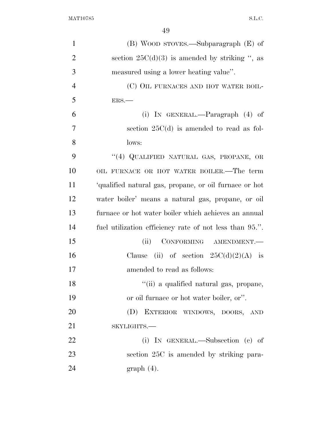| $\mathbf{1}$   | $(B)$ Wood stroves.—Subparagraph $(E)$ of               |
|----------------|---------------------------------------------------------|
| $\overline{2}$ | section $25C(d)(3)$ is amended by striking ", as        |
| 3              | measured using a lower heating value".                  |
| $\overline{4}$ | (C) OIL FURNACES AND HOT WATER BOIL-                    |
| 5              | $ERS. -$                                                |
| 6              | (i) IN GENERAL.—Paragraph $(4)$ of                      |
| 7              | section $25C(d)$ is amended to read as fol-             |
| 8              | lows:                                                   |
| 9              | "(4) QUALIFIED NATURAL GAS, PROPANE, OR                 |
| 10             | OIL FURNACE OR HOT WATER BOILER.—The term               |
| 11             | 'qualified natural gas, propane, or oil furnace or hot  |
| 12             | water boiler' means a natural gas, propane, or oil      |
| 13             | furnace or hot water boiler which achieves an annual    |
| 14             | fuel utilization efficiency rate of not less than 95.". |
| 15             | CONFORMING AMENDMENT.<br>(ii)                           |
| 16             | Clause (ii) of section $25C(d)(2)(A)$ is                |
| 17             | amended to read as follows:                             |
| 18             | "(ii) a qualified natural gas, propane,                 |
| 19             | or oil furnace or hot water boiler, or".                |
| 20             | (D) EXTERIOR WINDOWS, DOORS, AND                        |
| 21             | SKYLIGHTS.-                                             |
| 22             | (i) IN GENERAL.—Subsection (c) of                       |
| 23             | section 25C is amended by striking para-                |
| 24             | $graph(4)$ .                                            |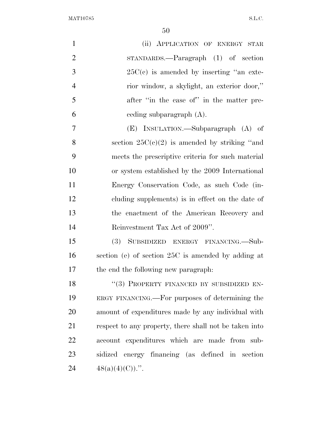| $\mathbf{1}$   | (ii) APPLICATION OF ENERGY STAR                        |
|----------------|--------------------------------------------------------|
| $\overline{2}$ | $STANDARDS.$ — $Paragraph$ (1) of section              |
| 3              | $25C(e)$ is amended by inserting "an exte-             |
| $\overline{4}$ | rior window, a skylight, an exterior door,"            |
| 5              | after "in the case of" in the matter pre-              |
| 6              | eeding subparagraph $(A)$ .                            |
| 7              | (E) INSULATION.—Subparagraph (A) of                    |
| 8              | section $25C(c)(2)$ is amended by striking "and        |
| 9              | meets the prescriptive criteria for such material      |
| 10             | or system established by the 2009 International        |
| 11             | Energy Conservation Code, as such Code (in-            |
| 12             | cluding supplements) is in effect on the date of       |
| 13             | the enactment of the American Recovery and             |
| 14             | Reinvestment Tax Act of 2009".                         |
| 15             | (3) SUBSIDIZED ENERGY FINANCING.-Sub-                  |
| 16             | section (e) of section 25C is amended by adding at     |
| 17             | the end the following new paragraph.                   |
| 18             | "(3) PROPERTY FINANCED BY SUBSIDIZED EN-               |
| 19             | ERGY FINANCING.—For purposes of determining the        |
| 20             | amount of expenditures made by any individual with     |
| 21             | respect to any property, there shall not be taken into |
| 22             | account expenditures which are made from sub-          |
| 23             | sidized energy financing (as defined in section        |
| 24             | $48(a)(4)(C)$ .".                                      |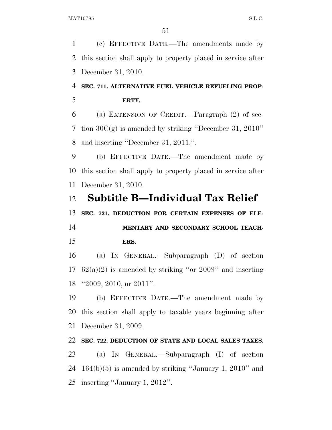(c) EFFECTIVE DATE.—The amendments made by this section shall apply to property placed in service after December 31, 2010.

# **SEC. 711. ALTERNATIVE FUEL VEHICLE REFUELING PROP-ERTY.**

 (a) EXTENSION OF CREDIT.—Paragraph (2) of sec-7 tion  $30C(g)$  is amended by striking "December 31, 2010" and inserting ''December 31, 2011.''.

 (b) EFFECTIVE DATE.—The amendment made by this section shall apply to property placed in service after December 31, 2010.

# **Subtitle B—Individual Tax Relief**

**SEC. 721. DEDUCTION FOR CERTAIN EXPENSES OF ELE-**

 **MENTARY AND SECONDARY SCHOOL TEACH-ERS.** 

 (a) IN GENERAL.—Subparagraph (D) of section 17  $62(a)(2)$  is amended by striking "or 2009" and inserting ''2009, 2010, or 2011''.

 (b) EFFECTIVE DATE.—The amendment made by this section shall apply to taxable years beginning after December 31, 2009.

### **SEC. 722. DEDUCTION OF STATE AND LOCAL SALES TAXES.**

 (a) IN GENERAL.—Subparagraph (I) of section 164(b)(5) is amended by striking ''January 1, 2010'' and inserting ''January 1, 2012''.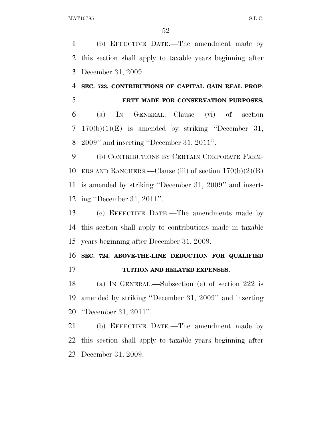(b) EFFECTIVE DATE.—The amendment made by this section shall apply to taxable years beginning after December 31, 2009.

**SEC. 723. CONTRIBUTIONS OF CAPITAL GAIN REAL PROP-**

### **ERTY MADE FOR CONSERVATION PURPOSES.**

 (a) IN GENERAL.—Clause (vi) of section 170(b)(1)(E) is amended by striking ''December 31, 2009'' and inserting ''December 31, 2011''.

 (b) CONTRIBUTIONS BY CERTAIN CORPORATE FARM-10 ERS AND RANCHERS.—Clause (iii) of section  $170(b)(2)(B)$  is amended by striking ''December 31, 2009'' and insert-ing ''December 31, 2011''.

 (c) EFFECTIVE DATE.—The amendments made by this section shall apply to contributions made in taxable years beginning after December 31, 2009.

### **SEC. 724. ABOVE-THE-LINE DEDUCTION FOR QUALIFIED TUITION AND RELATED EXPENSES.**

 (a) IN GENERAL.—Subsection (e) of section 222 is amended by striking ''December 31, 2009'' and inserting ''December 31, 2011''.

 (b) EFFECTIVE DATE.—The amendment made by this section shall apply to taxable years beginning after December 31, 2009.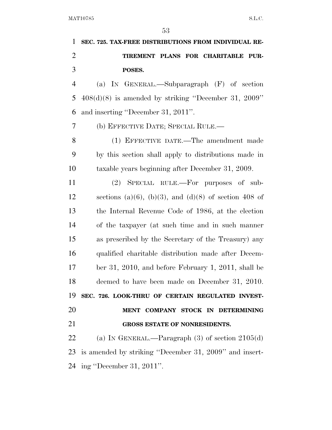**SEC. 725. TAX-FREE DISTRIBUTIONS FROM INDIVIDUAL RE- TIREMENT PLANS FOR CHARITABLE PUR- POSES.**  (a) IN GENERAL.—Subparagraph (F) of section 408(d)(8) is amended by striking ''December 31, 2009'' and inserting ''December 31, 2011''. (b) EFFECTIVE DATE; SPECIAL RULE.— (1) EFFECTIVE DATE.—The amendment made by this section shall apply to distributions made in taxable years beginning after December 31, 2009. (2) SPECIAL RULE.—For purposes of sub-12 sections (a)(6), (b)(3), and (d)(8) of section 408 of the Internal Revenue Code of 1986, at the election of the taxpayer (at such time and in such manner as prescribed by the Secretary of the Treasury) any qualified charitable distribution made after Decem-

 ber 31, 2010, and before February 1, 2011, shall be deemed to have been made on December 31, 2010. **SEC. 726. LOOK-THRU OF CERTAIN REGULATED INVEST-MENT COMPANY STOCK IN DETERMINING** 

**GROSS ESTATE OF NONRESIDENTS.** 

 (a) IN GENERAL.—Paragraph (3) of section 2105(d) is amended by striking ''December 31, 2009'' and insert-ing ''December 31, 2011''.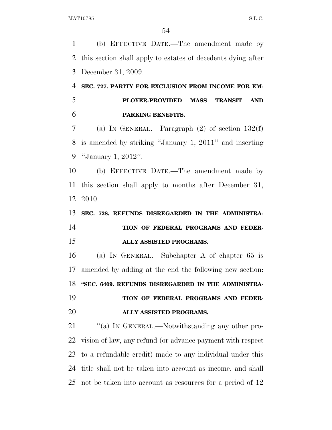(b) EFFECTIVE DATE.—The amendment made by this section shall apply to estates of decedents dying after December 31, 2009.

# **SEC. 727. PARITY FOR EXCLUSION FROM INCOME FOR EM-PLOYER-PROVIDED MASS TRANSIT AND**

 (a) IN GENERAL.—Paragraph (2) of section 132(f) is amended by striking ''January 1, 2011'' and inserting ''January 1, 2012''.

 (b) EFFECTIVE DATE.—The amendment made by this section shall apply to months after December 31, 2010.

 **SEC. 728. REFUNDS DISREGARDED IN THE ADMINISTRA-TION OF FEDERAL PROGRAMS AND FEDER-**

**ALLY ASSISTED PROGRAMS.** 

**PARKING BENEFITS.** 

 (a) IN GENERAL.—Subchapter A of chapter 65 is amended by adding at the end the following new section: **''SEC. 6409. REFUNDS DISREGARDED IN THE ADMINISTRA- TION OF FEDERAL PROGRAMS AND FEDER-ALLY ASSISTED PROGRAMS.** 

21 "(a) In GENERAL.—Notwithstanding any other pro- vision of law, any refund (or advance payment with respect to a refundable credit) made to any individual under this title shall not be taken into account as income, and shall not be taken into account as resources for a period of 12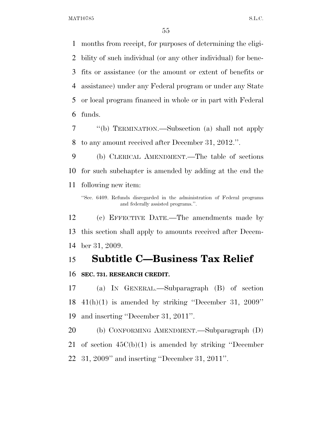months from receipt, for purposes of determining the eligi- bility of such individual (or any other individual) for bene- fits or assistance (or the amount or extent of benefits or assistance) under any Federal program or under any State or local program financed in whole or in part with Federal funds.

 ''(b) TERMINATION.—Subsection (a) shall not apply to any amount received after December 31, 2012.''.

 (b) CLERICAL AMENDMENT.—The table of sections for such subchapter is amended by adding at the end the following new item:

''Sec. 6409. Refunds disregarded in the administration of Federal programs and federally assisted programs.''.

 (c) EFFECTIVE DATE.—The amendments made by this section shall apply to amounts received after Decem-ber 31, 2009.

# **Subtitle C—Business Tax Relief**

#### **SEC. 731. RESEARCH CREDIT.**

 (a) IN GENERAL.—Subparagraph (B) of section 41(h)(1) is amended by striking ''December 31, 2009'' and inserting ''December 31, 2011''.

 (b) CONFORMING AMENDMENT.—Subparagraph (D) of section 45C(b)(1) is amended by striking ''December 31, 2009'' and inserting ''December 31, 2011''.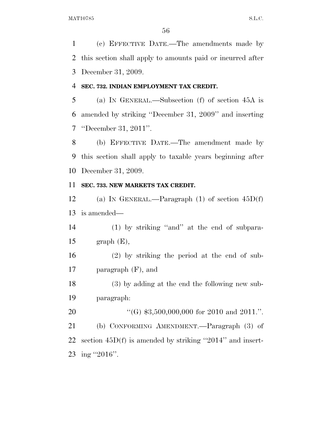(c) EFFECTIVE DATE.—The amendments made by this section shall apply to amounts paid or incurred after December 31, 2009.

#### **SEC. 732. INDIAN EMPLOYMENT TAX CREDIT.**

 (a) IN GENERAL.—Subsection (f) of section 45A is amended by striking ''December 31, 2009'' and inserting ''December 31, 2011''.

 (b) EFFECTIVE DATE.—The amendment made by this section shall apply to taxable years beginning after December 31, 2009.

### **SEC. 733. NEW MARKETS TAX CREDIT.**

 (a) IN GENERAL.—Paragraph (1) of section 45D(f) is amended—

 (1) by striking ''and'' at the end of subpara-15 graph  $(E)$ ,

 (2) by striking the period at the end of sub-paragraph (F), and

 (3) by adding at the end the following new sub-paragraph:

20 "'(G) \$3,500,000,000 for 2010 and 2011.". (b) CONFORMING AMENDMENT.—Paragraph (3) of section 45D(f) is amended by striking ''2014'' and insert-ing ''2016''.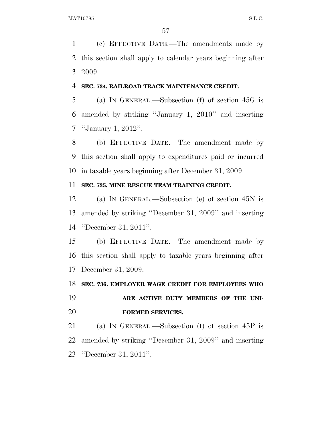(c) EFFECTIVE DATE.—The amendments made by this section shall apply to calendar years beginning after 2009.

#### **SEC. 734. RAILROAD TRACK MAINTENANCE CREDIT.**

 (a) IN GENERAL.—Subsection (f) of section 45G is amended by striking ''January 1, 2010'' and inserting ''January 1, 2012''.

 (b) EFFECTIVE DATE.—The amendment made by this section shall apply to expenditures paid or incurred in taxable years beginning after December 31, 2009.

### **SEC. 735. MINE RESCUE TEAM TRAINING CREDIT.**

 (a) IN GENERAL.—Subsection (e) of section 45N is amended by striking ''December 31, 2009'' and inserting ''December 31, 2011''.

 (b) EFFECTIVE DATE.—The amendment made by this section shall apply to taxable years beginning after December 31, 2009.

**SEC. 736. EMPLOYER WAGE CREDIT FOR EMPLOYEES WHO** 

# **ARE ACTIVE DUTY MEMBERS OF THE UNI-FORMED SERVICES.**

 (a) IN GENERAL.—Subsection (f) of section 45P is amended by striking ''December 31, 2009'' and inserting ''December 31, 2011''.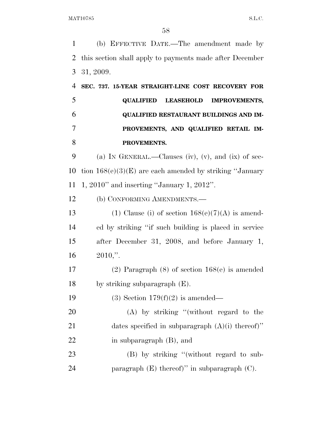(b) EFFECTIVE DATE.—The amendment made by this section shall apply to payments made after December 31, 2009.

 **SEC. 737. 15-YEAR STRAIGHT-LINE COST RECOVERY FOR QUALIFIED LEASEHOLD IMPROVEMENTS, QUALIFIED RESTAURANT BUILDINGS AND IM- PROVEMENTS, AND QUALIFIED RETAIL IM-PROVEMENTS.** 

 (a) IN GENERAL.—Clauses (iv), (v), and (ix) of sec-10 tion  $168(e)(3)(E)$  are each amended by striking "January" 1, 2010'' and inserting ''January 1, 2012''.

12 (b) CONFORMING AMENDMENTS.—

13 (1) Clause (i) of section  $168(e)(7)(A)$  is amend- ed by striking ''if such building is placed in service after December 31, 2008, and before January 1,  $16 \t 2010$ ,".

 (2) Paragraph (8) of section 168(e) is amended by striking subparagraph (E).

19 (3) Section  $179(f)(2)$  is amended—

20 (A) by striking "(without regard to the dates specified in subparagraph (A)(i) thereof)'' in subparagraph (B), and

23 (B) by striking "(without regard to sub-paragraph (E) thereof)'' in subparagraph (C).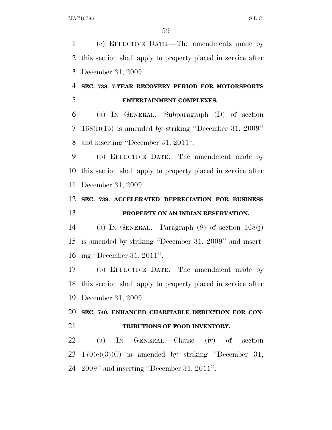(c) EFFECTIVE DATE.—The amendments made by this section shall apply to property placed in service after December 31, 2009.

## **SEC. 738. 7-YEAR RECOVERY PERIOD FOR MOTORSPORTS ENTERTAINMENT COMPLEXES.**

 (a) IN GENERAL.—Subparagraph (D) of section 168(i)(15) is amended by striking ''December 31, 2009'' and inserting ''December 31, 2011''.

 (b) EFFECTIVE DATE.—The amendment made by this section shall apply to property placed in service after December 31, 2009.

## **SEC. 739. ACCELERATED DEPRECIATION FOR BUSINESS PROPERTY ON AN INDIAN RESERVATION.**

 (a) IN GENERAL.—Paragraph (8) of section 168(j) is amended by striking ''December 31, 2009'' and insert-ing ''December 31, 2011''.

 (b) EFFECTIVE DATE.—The amendment made by this section shall apply to property placed in service after December 31, 2009.

 **SEC. 740. ENHANCED CHARITABLE DEDUCTION FOR CON-TRIBUTIONS OF FOOD INVENTORY.** 

 (a) IN GENERAL.—Clause (iv) of section 170(e)(3)(C) is amended by striking ''December 31, 2009'' and inserting ''December 31, 2011''.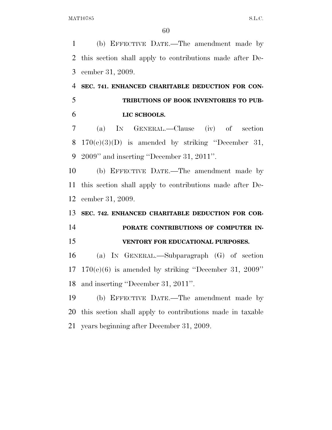(b) EFFECTIVE DATE.—The amendment made by this section shall apply to contributions made after De-cember 31, 2009.

 **SEC. 741. ENHANCED CHARITABLE DEDUCTION FOR CON- TRIBUTIONS OF BOOK INVENTORIES TO PUB-LIC SCHOOLS.** 

 (a) IN GENERAL.—Clause (iv) of section 8  $170(e)(3)(D)$  is amended by striking "December 31, 2009'' and inserting ''December 31, 2011''.

 (b) EFFECTIVE DATE.—The amendment made by this section shall apply to contributions made after De-cember 31, 2009.

**SEC. 742. ENHANCED CHARITABLE DEDUCTION FOR COR-**

 **PORATE CONTRIBUTIONS OF COMPUTER IN-VENTORY FOR EDUCATIONAL PURPOSES.** 

 (a) IN GENERAL.—Subparagraph (G) of section 170(e)(6) is amended by striking ''December 31, 2009'' and inserting ''December 31, 2011''.

 (b) EFFECTIVE DATE.—The amendment made by this section shall apply to contributions made in taxable years beginning after December 31, 2009.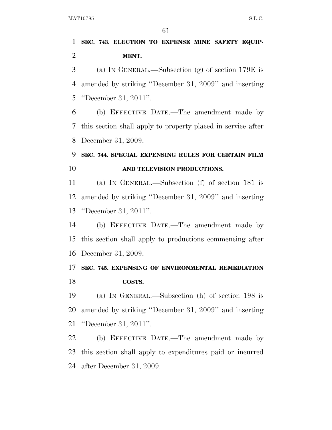# **SEC. 743. ELECTION TO EXPENSE MINE SAFETY EQUIP-MENT.**

 (a) IN GENERAL.—Subsection (g) of section 179E is amended by striking ''December 31, 2009'' and inserting ''December 31, 2011''.

 (b) EFFECTIVE DATE.—The amendment made by this section shall apply to property placed in service after December 31, 2009.

## **SEC. 744. SPECIAL EXPENSING RULES FOR CERTAIN FILM AND TELEVISION PRODUCTIONS.**

 (a) IN GENERAL.—Subsection (f) of section 181 is amended by striking ''December 31, 2009'' and inserting ''December 31, 2011''.

 (b) EFFECTIVE DATE.—The amendment made by this section shall apply to productions commencing after December 31, 2009.

## **SEC. 745. EXPENSING OF ENVIRONMENTAL REMEDIATION COSTS.**

 (a) IN GENERAL.—Subsection (h) of section 198 is amended by striking ''December 31, 2009'' and inserting ''December 31, 2011''.

 (b) EFFECTIVE DATE.—The amendment made by this section shall apply to expenditures paid or incurred after December 31, 2009.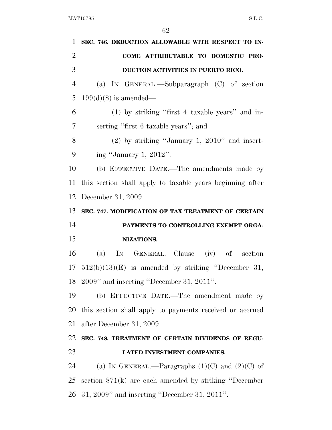| 1              | SEC. 746. DEDUCTION ALLOWABLE WITH RESPECT TO IN-         |
|----------------|-----------------------------------------------------------|
| $\overline{2}$ | COME ATTRIBUTABLE TO DOMESTIC PRO-                        |
| 3              | DUCTION ACTIVITIES IN PUERTO RICO.                        |
| $\overline{4}$ | (a) IN GENERAL.—Subparagraph (C) of section               |
| 5              | $199(d)(8)$ is amended—                                   |
| 6              | $(1)$ by striking "first 4 taxable years" and in-         |
| 7              | serting "first 6 taxable years"; and                      |
| 8              | $(2)$ by striking "January 1, 2010" and insert-           |
| 9              | ing "January 1, 2012".                                    |
| 10             | (b) EFFECTIVE DATE.—The amendments made by                |
| 11             | this section shall apply to taxable years beginning after |
| 12             | December 31, 2009.                                        |
| 13             | SEC. 747. MODIFICATION OF TAX TREATMENT OF CERTAIN        |
|                |                                                           |
|                | PAYMENTS TO CONTROLLING EXEMPT ORGA-                      |
| 14<br>15       | NIZATIONS.                                                |
| 16             | IN GENERAL.—Clause (iv) of section<br>(a)                 |
| 17             | $512(b)(13)(E)$ is amended by striking "December 31,      |
|                | 18 2009" and inserting "December 31, 2011".               |
| 19             | (b) EFFECTIVE DATE.—The amendment made by                 |
|                | this section shall apply to payments received or accrued  |
| 20<br>21       | after December 31, 2009.                                  |
| 22             | SEC. 748. TREATMENT OF CERTAIN DIVIDENDS OF REGU-         |
| 23             | LATED INVESTMENT COMPANIES.                               |
| 24             | (a) IN GENERAL.—Paragraphs $(1)(C)$ and $(2)(C)$ of       |
| 25             | section $871(k)$ are each amended by striking "December"  |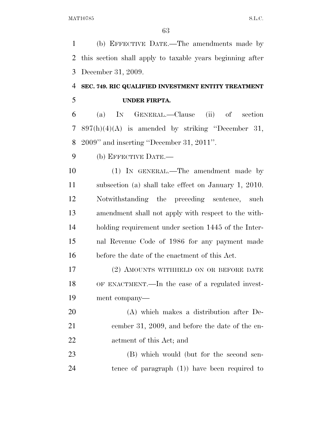(b) EFFECTIVE DATE.—The amendments made by this section shall apply to taxable years beginning after December 31, 2009.

# **SEC. 749. RIC QUALIFIED INVESTMENT ENTITY TREATMENT UNDER FIRPTA.**

 (a) IN GENERAL.—Clause (ii) of section 897(h)(4)(A) is amended by striking ''December 31, 2009'' and inserting ''December 31, 2011''.

(b) EFFECTIVE DATE.—

 (1) IN GENERAL.—The amendment made by subsection (a) shall take effect on January 1, 2010. Notwithstanding the preceding sentence, such amendment shall not apply with respect to the with- holding requirement under section 1445 of the Inter- nal Revenue Code of 1986 for any payment made before the date of the enactment of this Act.

 (2) AMOUNTS WITHHELD ON OR BEFORE DATE OF ENACTMENT.—In the case of a regulated invest-ment company—

 (A) which makes a distribution after De- cember 31, 2009, and before the date of the en-actment of this Act; and

23 (B) which would (but for the second sen-tence of paragraph (1)) have been required to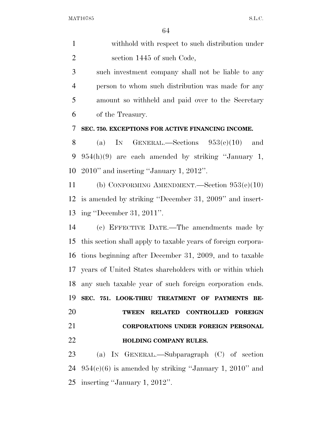| withhold with respect to such distribution under |
|--------------------------------------------------|
| section 1445 of such Code,                       |

 such investment company shall not be liable to any person to whom such distribution was made for any amount so withheld and paid over to the Secretary of the Treasury.

#### **SEC. 750. EXCEPTIONS FOR ACTIVE FINANCING INCOME.**

8 (a) IN GENERAL.—Sections  $953(e)(10)$  and 954(h)(9) are each amended by striking ''January 1, 2010'' and inserting ''January 1, 2012''.

 (b) CONFORMING AMENDMENT.—Section 953(e)(10) is amended by striking ''December 31, 2009'' and insert-ing ''December 31, 2011''.

 (c) EFFECTIVE DATE.—The amendments made by this section shall apply to taxable years of foreign corpora- tions beginning after December 31, 2009, and to taxable years of United States shareholders with or within which any such taxable year of such foreign corporation ends. **SEC. 751. LOOK-THRU TREATMENT OF PAYMENTS BE-TWEEN RELATED CONTROLLED FOREIGN** 

### **CORPORATIONS UNDER FOREIGN PERSONAL**

### **HOLDING COMPANY RULES.**

 (a) IN GENERAL.—Subparagraph (C) of section 24  $954(c)(6)$  is amended by striking "January 1, 2010" and inserting ''January 1, 2012''.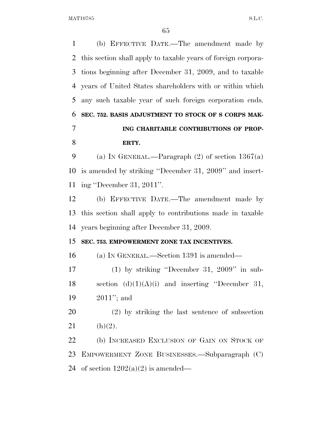(b) EFFECTIVE DATE.—The amendment made by this section shall apply to taxable years of foreign corpora- tions beginning after December 31, 2009, and to taxable years of United States shareholders with or within which any such taxable year of such foreign corporation ends. **SEC. 752. BASIS ADJUSTMENT TO STOCK OF S CORPS MAK- ING CHARITABLE CONTRIBUTIONS OF PROP- ERTY.**  9 (a) IN GENERAL.—Paragraph  $(2)$  of section  $1367(a)$  is amended by striking ''December 31, 2009'' and insert- ing ''December 31, 2011''. (b) EFFECTIVE DATE.—The amendment made by this section shall apply to contributions made in taxable years beginning after December 31, 2009. **SEC. 753. EMPOWERMENT ZONE TAX INCENTIVES.**  (a) IN GENERAL.—Section 1391 is amended— (1) by striking ''December 31, 2009'' in sub-18 section  $(d)(1)(A)(i)$  and inserting "December 31, 2011''; and (2) by striking the last sentence of subsection 21 (h)(2). 22 (b) INCREASED EXCLUSION OF GAIN ON STOCK OF EMPOWERMENT ZONE BUSINESSES.—Subparagraph (C) 24 of section  $1202(a)(2)$  is amended—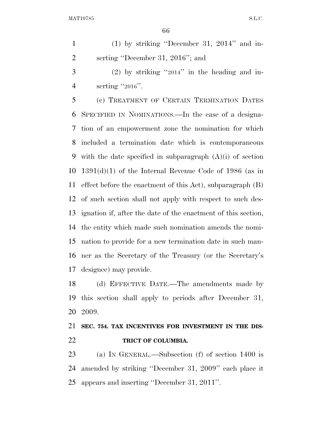(1) by striking ''December 31, 2014'' and in-serting ''December 31, 2016''; and

 (2) by striking "2014" in the heading and in-4 serting "2016".

 (c) TREATMENT OF CERTAIN TERMINATION DATES SPECIFIED IN NOMINATIONS.—In the case of a designa- tion of an empowerment zone the nomination for which included a termination date which is contemporaneous with the date specified in subparagraph (A)(i) of section 1391(d)(1) of the Internal Revenue Code of 1986 (as in effect before the enactment of this Act), subparagraph (B) of such section shall not apply with respect to such des- ignation if, after the date of the enactment of this section, the entity which made such nomination amends the nomi- nation to provide for a new termination date in such man- ner as the Secretary of the Treasury (or the Secretary's designee) may provide.

 (d) EFFECTIVE DATE.—The amendments made by this section shall apply to periods after December 31, 2009.

# **SEC. 754. TAX INCENTIVES FOR INVESTMENT IN THE DIS-TRICT OF COLUMBIA.**

 (a) IN GENERAL.—Subsection (f) of section 1400 is amended by striking ''December 31, 2009'' each place it appears and inserting ''December 31, 2011''.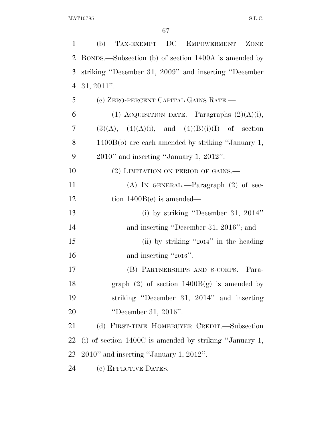| $\mathbf{1}$   | TAX-EXEMPT DC EMPOWERMENT<br>(b)<br>ZONE                          |
|----------------|-------------------------------------------------------------------|
| $\overline{2}$ | BONDS.—Subsection (b) of section 1400A is amended by              |
| 3              | striking "December 31, 2009" and inserting "December              |
| $\overline{4}$ | $31, 2011$ ".                                                     |
| 5              | (c) ZERO-PERCENT CAPITAL GAINS RATE.—                             |
| 6              | (1) ACQUISITION DATE.—Paragraphs $(2)(A)(i)$ ,                    |
| 7              | $(3)(A), (4)(A)(i), \text{ and } (4)(B)(i)(I) \text{ of section}$ |
| 8              | $1400B(b)$ are each amended by striking "January 1,               |
| 9              | $2010$ " and inserting "January 1, $2012$ ".                      |
| 10             | (2) LIMITATION ON PERIOD OF GAINS.                                |
| 11             | (A) IN GENERAL.—Paragraph $(2)$ of sec-                           |
| 12             | tion $1400B(e)$ is amended—                                       |
| 13             | (i) by striking "December 31, $2014"$                             |
| 14             | and inserting "December 31, 2016"; and                            |
| 15             | (ii) by striking "2014" in the heading                            |
| 16             | and inserting "2016".                                             |
| 17             | (B) PARTNERSHIPS AND S-CORPS.—Para-                               |
| 18             | graph $(2)$ of section $1400B(g)$ is amended by                   |
| 19             | striking "December 31, 2014" and inserting                        |
| 20             | "December 31, 2016".                                              |
| 21             | (d) FIRST-TIME HOMEBUYER CREDIT.-Subsection                       |
| 22             | (i) of section $1400C$ is amended by striking "January 1,         |
| 23             | $2010$ " and inserting "January 1, $2012$ ".                      |
| 24             | (e) EFFECTIVE DATES.-                                             |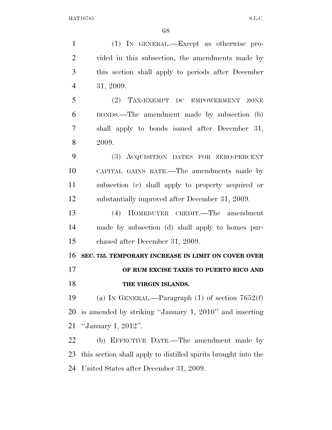(1) IN GENERAL.—Except as otherwise pro- vided in this subsection, the amendments made by this section shall apply to periods after December 31, 2009. (2) TAX-EXEMPT DC EMPOWERMENT ZONE BONDS.—The amendment made by subsection (b) shall apply to bonds issued after December 31, 2009. (3) ACQUISITION DATES FOR ZERO-PERCENT CAPITAL GAINS RATE.—The amendments made by subsection (c) shall apply to property acquired or substantially improved after December 31, 2009. (4) HOMEBUYER CREDIT.—The amendment made by subsection (d) shall apply to homes pur- chased after December 31, 2009. **SEC. 755. TEMPORARY INCREASE IN LIMIT ON COVER OVER OF RUM EXCISE TAXES TO PUERTO RICO AND THE VIRGIN ISLANDS.**  (a) IN GENERAL.—Paragraph (1) of section 7652(f) is amended by striking ''January 1, 2010'' and inserting ''January 1, 2012''. (b) EFFECTIVE DATE.—The amendment made by this section shall apply to distilled spirits brought into the United States after December 31, 2009.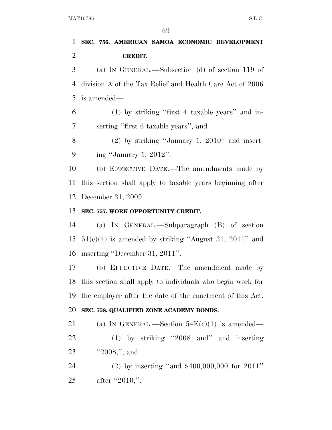**SEC. 756. AMERICAN SAMOA ECONOMIC DEVELOPMENT CREDIT.** 

 (a) IN GENERAL.—Subsection (d) of section 119 of division A of the Tax Relief and Health Care Act of 2006 is amended—

 (1) by striking ''first 4 taxable years'' and in-serting ''first 6 taxable years'', and

8  $(2)$  by striking "January 1, 2010" and insert-ing ''January 1, 2012''.

 (b) EFFECTIVE DATE.—The amendments made by this section shall apply to taxable years beginning after December 31, 2009.

#### **SEC. 757. WORK OPPORTUNITY CREDIT.**

 (a) IN GENERAL.—Subparagraph (B) of section 15  $51(e)(4)$  is amended by striking "August 31, 2011" and inserting ''December 31, 2011''.

 (b) EFFECTIVE DATE.—The amendment made by this section shall apply to individuals who begin work for the employer after the date of the enactment of this Act.

#### **SEC. 758. QUALIFIED ZONE ACADEMY BONDS.**

21 (a) IN GENERAL.—Section  $54E(c)(1)$  is amended— (1) by striking ''2008 and'' and inserting 23 ''2008,", and

 (2) by inserting ''and \$400,000,000 for 2011'' 25 after "2010,".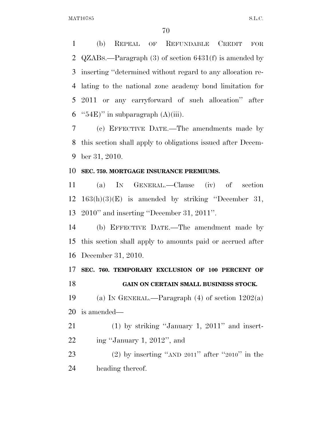(b) REPEAL OF REFUNDABLE CREDIT FOR QZABS.—Paragraph (3) of section 6431(f) is amended by inserting ''determined without regard to any allocation re- lating to the national zone academy bond limitation for 2011 or any carryforward of such allocation'' after  $"54E)"$  in subparagraph  $(A)(iii)$ .

 (c) EFFECTIVE DATE.—The amendments made by this section shall apply to obligations issued after Decem-ber 31, 2010.

#### **SEC. 759. MORTGAGE INSURANCE PREMIUMS.**

 (a) IN GENERAL.—Clause (iv) of section 163(h)(3)(E) is amended by striking ''December 31, 2010'' and inserting ''December 31, 2011''.

 (b) EFFECTIVE DATE.—The amendment made by this section shall apply to amounts paid or accrued after December 31, 2010.

 **SEC. 760. TEMPORARY EXCLUSION OF 100 PERCENT OF GAIN ON CERTAIN SMALL BUSINESS STOCK.** 

19 (a) IN GENERAL.—Paragraph  $(4)$  of section  $1202(a)$ is amended—

21 (1) by striking "January 1, 2011" and insert-ing ''January 1, 2012'', and

23 (2) by inserting "AND " after " $2010$ " in the heading thereof.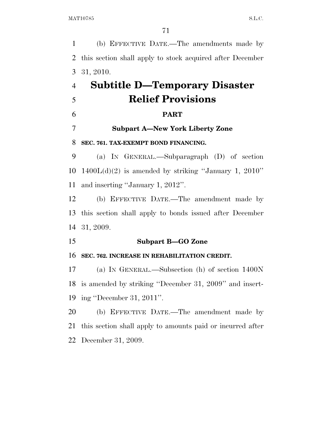(b) EFFECTIVE DATE.—The amendments made by this section shall apply to stock acquired after December 31, 2010.

# **Subtitle D—Temporary Disaster Relief Provisions**

### **PART**

**Subpart A—New York Liberty Zone** 

### **SEC. 761. TAX-EXEMPT BOND FINANCING.**

 (a) IN GENERAL.—Subparagraph (D) of section 10  $1400L(d)(2)$  is amended by striking "January 1, 2010" and inserting ''January 1, 2012''.

 (b) EFFECTIVE DATE.—The amendment made by this section shall apply to bonds issued after December 31, 2009.

### **Subpart B—GO Zone**

### **SEC. 762. INCREASE IN REHABILITATION CREDIT.**

 (a) IN GENERAL.—Subsection (h) of section 1400N is amended by striking ''December 31, 2009'' and insert-ing ''December 31, 2011''.

 (b) EFFECTIVE DATE.—The amendment made by this section shall apply to amounts paid or incurred after December 31, 2009.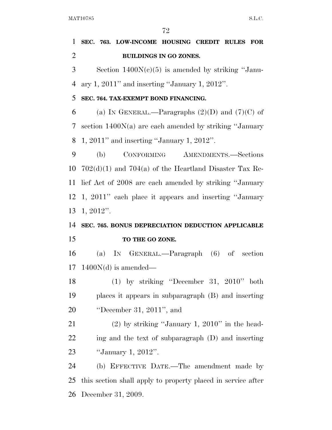**SEC. 763. LOW-INCOME HOUSING CREDIT RULES FOR** 

 **BUILDINGS IN GO ZONES.**  Section 1400N(c)(5) is amended by striking ''Janu- ary 1, 2011'' and inserting ''January 1, 2012''. **SEC. 764. TAX-EXEMPT BOND FINANCING.**  6 (a) IN GENERAL.—Paragraphs  $(2)(D)$  and  $(7)(C)$  of section 1400N(a) are each amended by striking ''January 1, 2011'' and inserting ''January 1, 2012''. (b) CONFORMING AMENDMENTS.—Sections  $702(d)(1)$  and  $704(a)$  of the Heartland Disaster Tax Re- lief Act of 2008 are each amended by striking ''January 1, 2011'' each place it appears and inserting ''January 1, 2012''. **SEC. 765. BONUS DEPRECIATION DEDUCTION APPLICABLE TO THE GO ZONE.**  (a) IN GENERAL.—Paragraph (6) of section 17 1400 $N(d)$  is amended— (1) by striking ''December 31, 2010'' both places it appears in subparagraph (B) and inserting ''December 31, 2011'', and (2) by striking ''January 1, 2010'' in the head- ing and the text of subparagraph (D) and inserting ''January 1, 2012''. (b) EFFECTIVE DATE.—The amendment made by this section shall apply to property placed in service after December 31, 2009.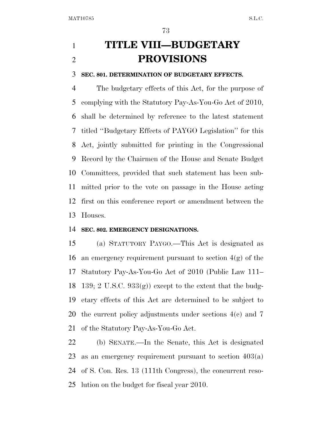## **TITLE VIII—BUDGETARY PROVISIONS**

## **SEC. 801. DETERMINATION OF BUDGETARY EFFECTS.**

 The budgetary effects of this Act, for the purpose of complying with the Statutory Pay-As-You-Go Act of 2010, shall be determined by reference to the latest statement titled ''Budgetary Effects of PAYGO Legislation'' for this Act, jointly submitted for printing in the Congressional Record by the Chairmen of the House and Senate Budget Committees, provided that such statement has been sub- mitted prior to the vote on passage in the House acting first on this conference report or amendment between the Houses.

## **SEC. 802. EMERGENCY DESIGNATIONS.**

 (a) STATUTORY PAYGO.—This Act is designated as an emergency requirement pursuant to section 4(g) of the Statutory Pay-As-You-Go Act of 2010 (Public Law 111– 18 139; 2 U.S.C. 933 $(g)$ ) except to the extent that the budg- etary effects of this Act are determined to be subject to the current policy adjustments under sections 4(c) and 7 of the Statutory Pay-As-You-Go Act.

 (b) SENATE.—In the Senate, this Act is designated as an emergency requirement pursuant to section 403(a) of S. Con. Res. 13 (111th Congress), the concurrent reso-lution on the budget for fiscal year 2010.